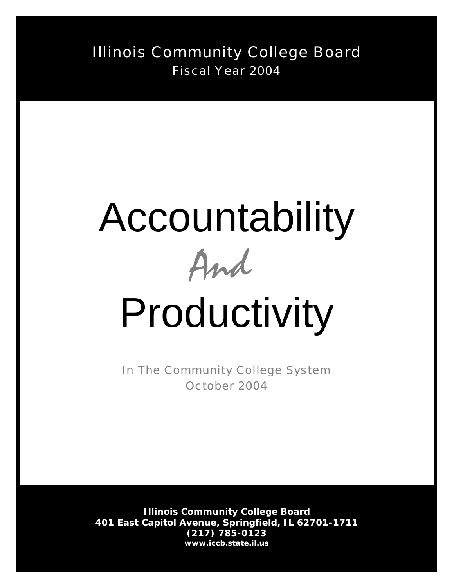Illinois Community College Board Fiscal Year 2004

## Accountability



# Productivity

In The Community College System October 2004

**Illinois Community College Board 401 East Capitol Avenue, Springfield, IL 62701-1711 (217) 785-0123** *www.iccb.state.il.us*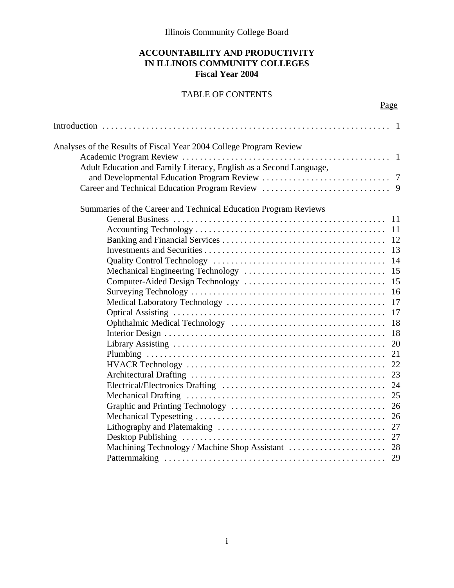Illinois Community College Board

#### **ACCOUNTABILITY AND PRODUCTIVITY IN ILLINOIS COMMUNITY COLLEGES Fiscal Year 2004**

#### TABLE OF CONTENTS

Page

| Analyses of the Results of Fiscal Year 2004 College Program Review |    |
|--------------------------------------------------------------------|----|
|                                                                    |    |
| Adult Education and Family Literacy, English as a Second Language, |    |
|                                                                    |    |
|                                                                    |    |
| Summaries of the Career and Technical Education Program Reviews    |    |
|                                                                    |    |
|                                                                    |    |
|                                                                    |    |
|                                                                    |    |
|                                                                    |    |
|                                                                    | 15 |
|                                                                    | 15 |
|                                                                    | 16 |
|                                                                    | 17 |
|                                                                    |    |
|                                                                    | 18 |
|                                                                    | 18 |
|                                                                    | 20 |
|                                                                    | 21 |
|                                                                    | 22 |
|                                                                    | 23 |
|                                                                    | 24 |
|                                                                    |    |
|                                                                    | 26 |
|                                                                    | 26 |
|                                                                    |    |
|                                                                    |    |
|                                                                    |    |
|                                                                    |    |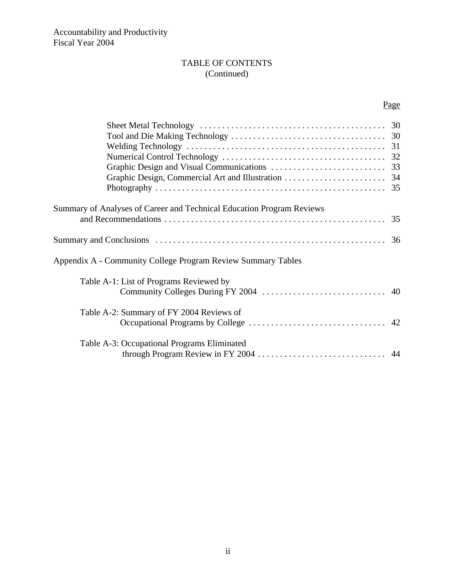#### TABLE OF CONTENTS (Continued)

#### Page

| Summary of Analyses of Career and Technical Education Program Reviews |  |
|-----------------------------------------------------------------------|--|
|                                                                       |  |
| Appendix A - Community College Program Review Summary Tables          |  |
| Table A-1: List of Programs Reviewed by                               |  |
| Table A-2: Summary of FY 2004 Reviews of                              |  |
| Table A-3: Occupational Programs Eliminated                           |  |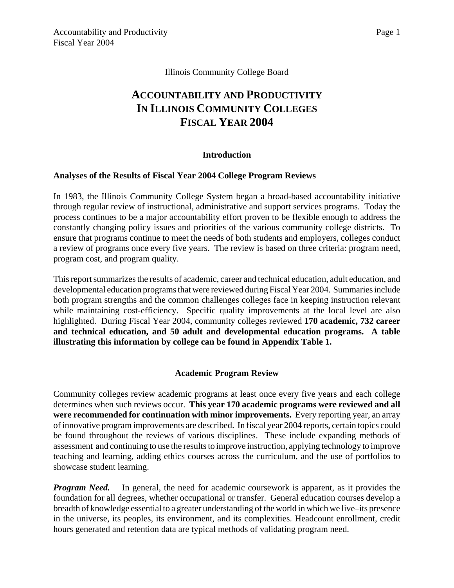#### Illinois Community College Board

### **ACCOUNTABILITY AND PRODUCTIVITY IN ILLINOIS COMMUNITY COLLEGES FISCAL YEAR 2004**

#### **Introduction**

#### **Analyses of the Results of Fiscal Year 2004 College Program Reviews**

In 1983, the Illinois Community College System began a broad-based accountability initiative through regular review of instructional, administrative and support services programs. Today the process continues to be a major accountability effort proven to be flexible enough to address the constantly changing policy issues and priorities of the various community college districts. To ensure that programs continue to meet the needs of both students and employers, colleges conduct a review of programs once every five years. The review is based on three criteria: program need, program cost, and program quality.

This report summarizes the results of academic, career and technical education, adult education, and developmental education programs that were reviewed during Fiscal Year 2004. Summaries include both program strengths and the common challenges colleges face in keeping instruction relevant while maintaining cost-efficiency. Specific quality improvements at the local level are also highlighted. During Fiscal Year 2004, community colleges reviewed **170 academic, 732 career and technical education, and 50 adult and developmental education programs. A table illustrating this information by college can be found in Appendix Table 1.**

#### **Academic Program Review**

Community colleges review academic programs at least once every five years and each college determines when such reviews occur. **This year 170 academic programs were reviewed and all were recommended for continuation with minor improvements.** Every reporting year, an array of innovative program improvements are described. In fiscal year 2004 reports, certain topics could be found throughout the reviews of various disciplines. These include expanding methods of assessment and continuing to use the results to improve instruction, applying technology to improve teaching and learning, adding ethics courses across the curriculum, and the use of portfolios to showcase student learning.

*Program Need.* In general, the need for academic coursework is apparent, as it provides the foundation for all degrees, whether occupational or transfer. General education courses develop a breadth of knowledge essential to a greater understanding of the world in which we live–its presence in the universe, its peoples, its environment, and its complexities. Headcount enrollment, credit hours generated and retention data are typical methods of validating program need.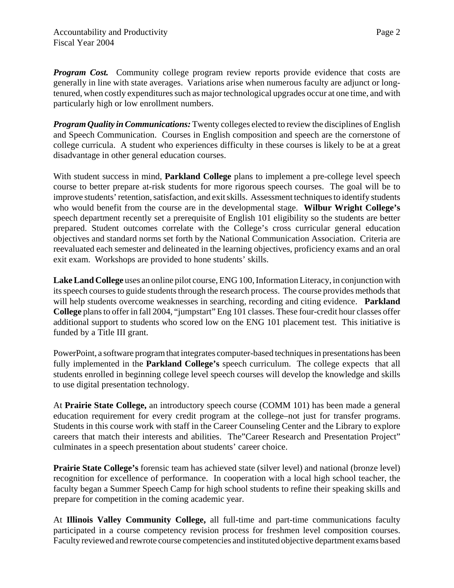*Program Cost.* Community college program review reports provide evidence that costs are generally in line with state averages. Variations arise when numerous faculty are adjunct or longtenured, when costly expenditures such as major technological upgrades occur at one time, and with particularly high or low enrollment numbers.

*Program Quality in Communications:* Twenty colleges elected to review the disciplines of English and Speech Communication. Courses in English composition and speech are the cornerstone of college curricula. A student who experiences difficulty in these courses is likely to be at a great disadvantage in other general education courses.

With student success in mind, **Parkland College** plans to implement a pre-college level speech course to better prepare at-risk students for more rigorous speech courses. The goal will be to improve students' retention, satisfaction, and exit skills. Assessment techniques to identify students who would benefit from the course are in the developmental stage. **Wilbur Wright College's** speech department recently set a prerequisite of English 101 eligibility so the students are better prepared. Student outcomes correlate with the College's cross curricular general education objectives and standard norms set forth by the National Communication Association. Criteria are reevaluated each semester and delineated in the learning objectives, proficiency exams and an oral exit exam. Workshops are provided to hone students' skills.

**Lake Land College** uses an online pilot course, ENG 100, Information Literacy, in conjunction with its speech courses to guide students through the research process. The course provides methods that will help students overcome weaknesses in searching, recording and citing evidence. **Parkland College** plans to offer in fall 2004, "jumpstart" Eng 101 classes. These four-credit hour classes offer additional support to students who scored low on the ENG 101 placement test. This initiative is funded by a Title III grant.

PowerPoint, a software program that integrates computer-based techniques in presentations has been fully implemented in the **Parkland College's** speech curriculum. The college expects that all students enrolled in beginning college level speech courses will develop the knowledge and skills to use digital presentation technology.

At **Prairie State College,** an introductory speech course (COMM 101) has been made a general education requirement for every credit program at the college–not just for transfer programs. Students in this course work with staff in the Career Counseling Center and the Library to explore careers that match their interests and abilities. The"Career Research and Presentation Project" culminates in a speech presentation about students' career choice.

**Prairie State College's** forensic team has achieved state (silver level) and national (bronze level) recognition for excellence of performance. In cooperation with a local high school teacher, the faculty began a Summer Speech Camp for high school students to refine their speaking skills and prepare for competition in the coming academic year.

At **Illinois Valley Community College,** all full-time and part-time communications faculty participated in a course competency revision process for freshmen level composition courses. Faculty reviewed and rewrote course competencies and instituted objective department exams based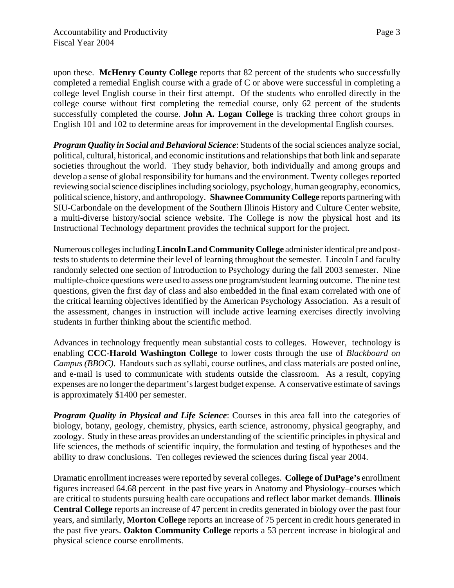upon these. **McHenry County College** reports that 82 percent of the students who successfully completed a remedial English course with a grade of C or above were successful in completing a college level English course in their first attempt. Of the students who enrolled directly in the college course without first completing the remedial course, only 62 percent of the students successfully completed the course. **John A. Logan College** is tracking three cohort groups in English 101 and 102 to determine areas for improvement in the developmental English courses.

*Program Quality in Social and Behavioral Science: Students of the social sciences analyze social,* political, cultural, historical, and economic institutions and relationships that both link and separate societies throughout the world. They study behavior, both individually and among groups and develop a sense of global responsibility for humans and the environment. Twenty colleges reported reviewing social science disciplines including sociology, psychology, human geography, economics, political science, history, and anthropology. **Shawnee Community College** reports partnering with SIU-Carbondale on the development of the Southern Illinois History and Culture Center website, a multi-diverse history/social science website. The College is now the physical host and its Instructional Technology department provides the technical support for the project.

Numerous colleges including **Lincoln Land Community College** administer identical pre and posttests to students to determine their level of learning throughout the semester. Lincoln Land faculty randomly selected one section of Introduction to Psychology during the fall 2003 semester. Nine multiple-choice questions were used to assess one program/student learning outcome. The nine test questions, given the first day of class and also embedded in the final exam correlated with one of the critical learning objectives identified by the American Psychology Association. As a result of the assessment, changes in instruction will include active learning exercises directly involving students in further thinking about the scientific method.

Advances in technology frequently mean substantial costs to colleges. However, technology is enabling **CCC-Harold Washington College** to lower costs through the use of *Blackboard on Campus (BBOC)*. Handouts such as syllabi, course outlines, and class materials are posted online, and e-mail is used to communicate with students outside the classroom. As a result, copying expenses are no longer the department's largest budget expense. A conservative estimate of savings is approximately \$1400 per semester.

**Program Quality in Physical and Life Science:** Courses in this area fall into the categories of biology, botany, geology, chemistry, physics, earth science, astronomy, physical geography, and zoology. Study in these areas provides an understanding of the scientific principles in physical and life sciences, the methods of scientific inquiry, the formulation and testing of hypotheses and the ability to draw conclusions. Ten colleges reviewed the sciences during fiscal year 2004.

Dramatic enrollment increases were reported by several colleges. **College of DuPage's** enrollment figures increased 64.68 percent in the past five years in Anatomy and Physiology–courses which are critical to students pursuing health care occupations and reflect labor market demands. **Illinois Central College** reports an increase of 47 percent in credits generated in biology over the past four years, and similarly, **Morton College** reports an increase of 75 percent in credit hours generated in the past five years. **Oakton Community College** reports a 53 percent increase in biological and physical science course enrollments.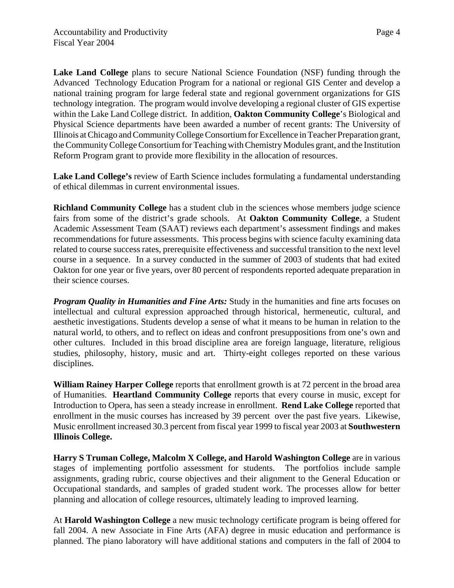**Lake Land College** plans to secure National Science Foundation (NSF) funding through the Advanced Technology Education Program for a national or regional GIS Center and develop a national training program for large federal state and regional government organizations for GIS technology integration. The program would involve developing a regional cluster of GIS expertise within the Lake Land College district. In addition, **Oakton Community College**'s Biological and Physical Science departments have been awarded a number of recent grants: The University of Illinois at Chicago and Community College Consortium for Excellence in Teacher Preparation grant, the Community College Consortium for Teaching with Chemistry Modules grant, and the Institution Reform Program grant to provide more flexibility in the allocation of resources.

**Lake Land College's** review of Earth Science includes formulating a fundamental understanding of ethical dilemmas in current environmental issues.

**Richland Community College** has a student club in the sciences whose members judge science fairs from some of the district's grade schools. At **Oakton Community College**, a Student Academic Assessment Team (SAAT) reviews each department's assessment findings and makes recommendations for future assessments. This process begins with science faculty examining data related to course success rates, prerequisite effectiveness and successful transition to the next level course in a sequence. In a survey conducted in the summer of 2003 of students that had exited Oakton for one year or five years, over 80 percent of respondents reported adequate preparation in their science courses.

*Program Quality in Humanities and Fine Arts:* Study in the humanities and fine arts focuses on intellectual and cultural expression approached through historical, hermeneutic, cultural, and aesthetic investigations. Students develop a sense of what it means to be human in relation to the natural world, to others, and to reflect on ideas and confront presuppositions from one's own and other cultures. Included in this broad discipline area are foreign language, literature, religious studies, philosophy, history, music and art. Thirty-eight colleges reported on these various disciplines.

**William Rainey Harper College** reports that enrollment growth is at 72 percent in the broad area of Humanities. **Heartland Community College** reports that every course in music, except for Introduction to Opera, has seen a steady increase in enrollment. **Rend Lake College** reported that enrollment in the music courses has increased by 39 percent over the past five years. Likewise, Music enrollment increased 30.3 percent from fiscal year 1999 to fiscal year 2003 at **Southwestern Illinois College.** 

**Harry S Truman College, Malcolm X College, and Harold Washington College** are in various stages of implementing portfolio assessment for students. The portfolios include sample assignments, grading rubric, course objectives and their alignment to the General Education or Occupational standards, and samples of graded student work. The processes allow for better planning and allocation of college resources, ultimately leading to improved learning.

At **Harold Washington College** a new music technology certificate program is being offered for fall 2004. A new Associate in Fine Arts (AFA) degree in music education and performance is planned. The piano laboratory will have additional stations and computers in the fall of 2004 to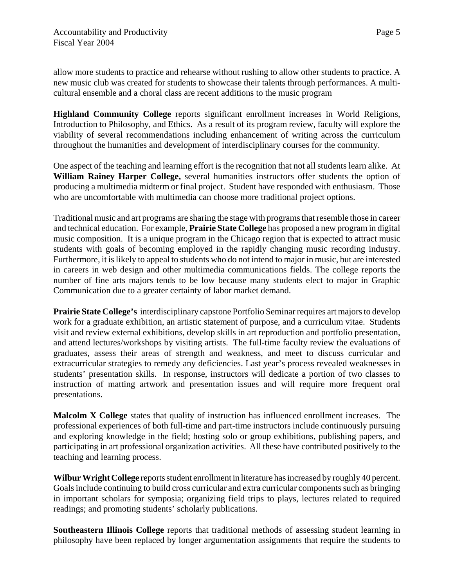allow more students to practice and rehearse without rushing to allow other students to practice. A new music club was created for students to showcase their talents through performances. A multicultural ensemble and a choral class are recent additions to the music program

**Highland Community College** reports significant enrollment increases in World Religions, Introduction to Philosophy, and Ethics. As a result of its program review, faculty will explore the viability of several recommendations including enhancement of writing across the curriculum throughout the humanities and development of interdisciplinary courses for the community.

One aspect of the teaching and learning effort is the recognition that not all students learn alike. At **William Rainey Harper College,** several humanities instructors offer students the option of producing a multimedia midterm or final project. Student have responded with enthusiasm. Those who are uncomfortable with multimedia can choose more traditional project options.

Traditional music and art programs are sharing the stage with programs that resemble those in career and technical education. For example, **Prairie State College** has proposed a new program in digital music composition. It is a unique program in the Chicago region that is expected to attract music students with goals of becoming employed in the rapidly changing music recording industry. Furthermore, it is likely to appeal to students who do not intend to major in music, but are interested in careers in web design and other multimedia communications fields. The college reports the number of fine arts majors tends to be low because many students elect to major in Graphic Communication due to a greater certainty of labor market demand.

**Prairie State College's** interdisciplinary capstone Portfolio Seminar requires art majors to develop work for a graduate exhibition, an artistic statement of purpose, and a curriculum vitae. Students visit and review external exhibitions, develop skills in art reproduction and portfolio presentation, and attend lectures/workshops by visiting artists. The full-time faculty review the evaluations of graduates, assess their areas of strength and weakness, and meet to discuss curricular and extracurricular strategies to remedy any deficiencies. Last year's process revealed weaknesses in students' presentation skills. In response, instructors will dedicate a portion of two classes to instruction of matting artwork and presentation issues and will require more frequent oral presentations.

**Malcolm X College** states that quality of instruction has influenced enrollment increases. The professional experiences of both full-time and part-time instructors include continuously pursuing and exploring knowledge in the field; hosting solo or group exhibitions, publishing papers, and participating in art professional organization activities. All these have contributed positively to the teaching and learning process.

**Wilbur Wright College** reports student enrollment in literature has increased by roughly 40 percent. Goals include continuing to build cross curricular and extra curricular components such as bringing in important scholars for symposia; organizing field trips to plays, lectures related to required readings; and promoting students' scholarly publications.

**Southeastern Illinois College** reports that traditional methods of assessing student learning in philosophy have been replaced by longer argumentation assignments that require the students to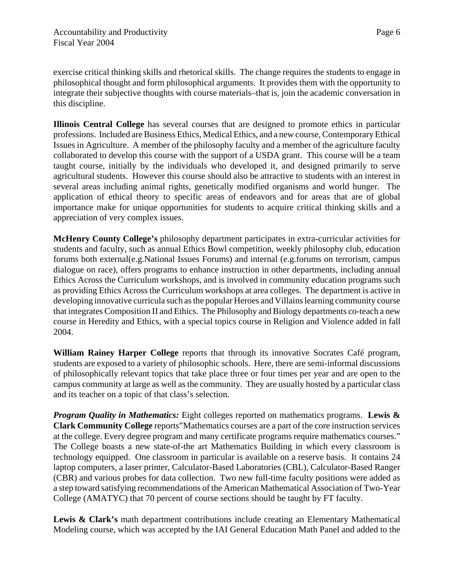Page 6

exercise critical thinking skills and rhetorical skills. The change requires the students to engage in philosophical thought and form philosophical arguments. It provides them with the opportunity to integrate their subjective thoughts with course materials–that is, join the academic conversation in this discipline.

**Illinois Central College** has several courses that are designed to promote ethics in particular professions. Included are Business Ethics, Medical Ethics, and a new course, Contemporary Ethical Issues in Agriculture. A member of the philosophy faculty and a member of the agriculture faculty collaborated to develop this course with the support of a USDA grant. This course will be a team taught course, initially by the individuals who developed it, and designed primarily to serve agricultural students. However this course should also be attractive to students with an interest in several areas including animal rights, genetically modified organisms and world hunger. The application of ethical theory to specific areas of endeavors and for areas that are of global importance make for unique opportunities for students to acquire critical thinking skills and a appreciation of very complex issues.

**McHenry County College's** philosophy department participates in extra-curricular activities for students and faculty, such as annual Ethics Bowl competition, weekly philosophy club, education forums both external(e.g.National Issues Forums) and internal (e.g.forums on terrorism, campus dialogue on race), offers programs to enhance instruction in other departments, including annual Ethics Across the Curriculum workshops, and is involved in community education programs such as providing Ethics Across the Curriculum workshops at area colleges. The department is active in developing innovative curricula such as the popular Heroes and Villains learning community course that integrates Composition II and Ethics. The Philosophy and Biology departments co-teach a new course in Heredity and Ethics, with a special topics course in Religion and Violence added in fall 2004.

**William Rainey Harper College** reports that through its innovative Socrates Café program, students are exposed to a variety of philosophic schools. Here, there are semi-informal discussions of philosophically relevant topics that take place three or four times per year and are open to the campus community at large as well as the community. They are usually hosted by a particular class and its teacher on a topic of that class's selection.

*Program Quality in Mathematics:* Eight colleges reported on mathematics programs. **Lewis & Clark Community College** reports"Mathematics courses are a part of the core instruction services at the college. Every degree program and many certificate programs require mathematics courses." The College boasts a new state-of-the art Mathematics Building in which every classroom is technology equipped. One classroom in particular is available on a reserve basis. It contains 24 laptop computers, a laser printer, Calculator-Based Laboratories (CBL), Calculator-Based Ranger (CBR) and various probes for data collection. Two new full-time faculty positions were added as a step toward satisfying recommendations of the American Mathematical Association of Two-Year College (AMATYC) that 70 percent of course sections should be taught by FT faculty.

Lewis & Clark's math department contributions include creating an Elementary Mathematical Modeling course, which was accepted by the IAI General Education Math Panel and added to the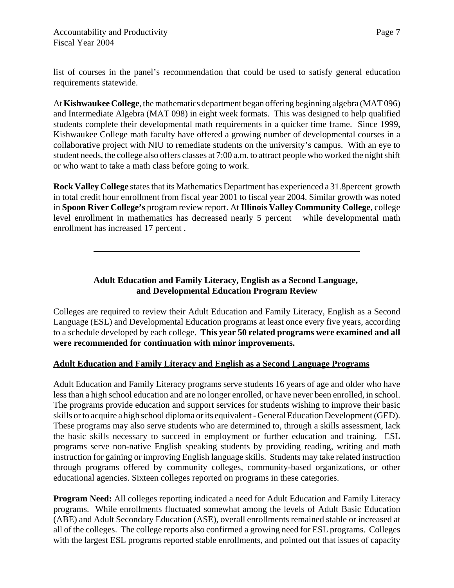list of courses in the panel's recommendation that could be used to satisfy general education requirements statewide.

At **Kishwaukee College**, the mathematics department began offering beginning algebra (MAT 096) and Intermediate Algebra (MAT 098) in eight week formats. This was designed to help qualified students complete their developmental math requirements in a quicker time frame. Since 1999, Kishwaukee College math faculty have offered a growing number of developmental courses in a collaborative project with NIU to remediate students on the university's campus. With an eye to student needs, the college also offers classes at 7:00 a.m. to attract people who worked the night shift or who want to take a math class before going to work.

**Rock Valley College** states that its Mathematics Department has experienced a 31.8percent growth in total credit hour enrollment from fiscal year 2001 to fiscal year 2004. Similar growth was noted in **Spoon River College's** program review report. At **Illinois Valley Community College**, college level enrollment in mathematics has decreased nearly 5 percent while developmental math enrollment has increased 17 percent .

> **Adult Education and Family Literacy, English as a Second Language, and Developmental Education Program Review**

Colleges are required to review their Adult Education and Family Literacy, English as a Second Language (ESL) and Developmental Education programs at least once every five years, according to a schedule developed by each college. **This year 50 related programs were examined and all were recommended for continuation with minor improvements.**

#### **Adult Education and Family Literacy and English as a Second Language Programs**

Adult Education and Family Literacy programs serve students 16 years of age and older who have less than a high school education and are no longer enrolled, or have never been enrolled, in school. The programs provide education and support services for students wishing to improve their basic skills or to acquire a high school diploma or its equivalent - General Education Development (GED). These programs may also serve students who are determined to, through a skills assessment, lack the basic skills necessary to succeed in employment or further education and training. ESL programs serve non-native English speaking students by providing reading, writing and math instruction for gaining or improving English language skills. Students may take related instruction through programs offered by community colleges, community-based organizations, or other educational agencies. Sixteen colleges reported on programs in these categories.

**Program Need:** All colleges reporting indicated a need for Adult Education and Family Literacy programs. While enrollments fluctuated somewhat among the levels of Adult Basic Education (ABE) and Adult Secondary Education (ASE), overall enrollments remained stable or increased at all of the colleges. The college reports also confirmed a growing need for ESL programs. Colleges with the largest ESL programs reported stable enrollments, and pointed out that issues of capacity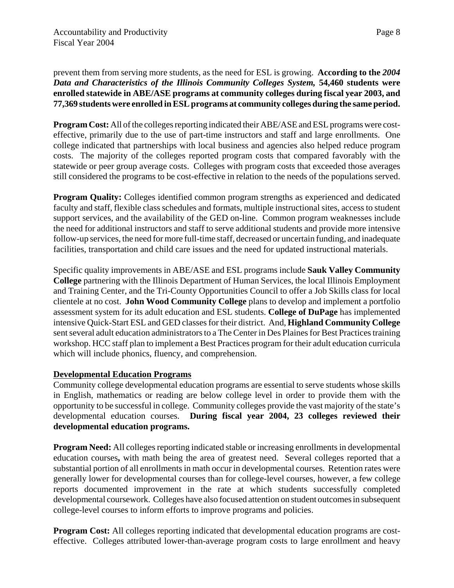prevent them from serving more students, as the need for ESL is growing. **According to the** *2004 Data and Characteristics of the Illinois Community Colleges System,* **54,460 students were enrolled statewide in ABE/ASE programs at community colleges during fiscal year 2003, and 77,369 students were enrolled in ESL programs at community colleges during the same period.**

**Program Cost:** All of the colleges reporting indicated their ABE/ASE and ESL programs were costeffective, primarily due to the use of part-time instructors and staff and large enrollments. One college indicated that partnerships with local business and agencies also helped reduce program costs. The majority of the colleges reported program costs that compared favorably with the statewide or peer group average costs. Colleges with program costs that exceeded those averages still considered the programs to be cost-effective in relation to the needs of the populations served.

**Program Quality:** Colleges identified common program strengths as experienced and dedicated faculty and staff, flexible class schedules and formats, multiple instructional sites, access to student support services, and the availability of the GED on-line. Common program weaknesses include the need for additional instructors and staff to serve additional students and provide more intensive follow-up services, the need for more full-time staff, decreased or uncertain funding, and inadequate facilities, transportation and child care issues and the need for updated instructional materials.

Specific quality improvements in ABE/ASE and ESL programs include **Sauk Valley Community College** partnering with the Illinois Department of Human Services, the local Illinois Employment and Training Center, and the Tri-County Opportunities Council to offer a Job Skills class for local clientele at no cost. **John Wood Community College** plans to develop and implement a portfolio assessment system for its adult education and ESL students. **College of DuPage** has implemented intensive Quick-Start ESL and GED classes for their district. And, **Highland Community College** sent several adult education administrators to a The Center in Des Plaines for Best Practices training workshop. HCC staff plan to implement a Best Practices program for their adult education curricula which will include phonics, fluency, and comprehension.

#### **Developmental Education Programs**

Community college developmental education programs are essential to serve students whose skills in English, mathematics or reading are below college level in order to provide them with the opportunity to be successful in college. Community colleges provide the vast majority of the state's developmental education courses. **During fiscal year 2004, 23 colleges reviewed their developmental education programs.**

**Program Need:** All colleges reporting indicated stable or increasing enrollments in developmental education courses**,** with math being the area of greatest need. Several colleges reported that a substantial portion of all enrollments in math occur in developmental courses. Retention rates were generally lower for developmental courses than for college-level courses, however, a few college reports documented improvement in the rate at which students successfully completed developmental coursework. Colleges have also focused attention on student outcomes in subsequent college-level courses to inform efforts to improve programs and policies.

**Program Cost:** All colleges reporting indicated that developmental education programs are costeffective. Colleges attributed lower-than-average program costs to large enrollment and heavy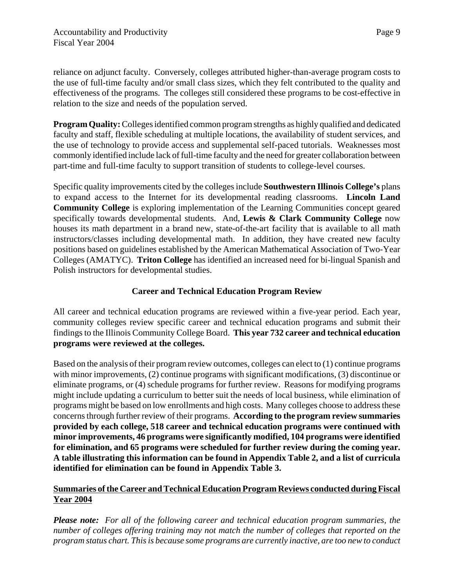reliance on adjunct faculty. Conversely, colleges attributed higher-than-average program costs to the use of full-time faculty and/or small class sizes, which they felt contributed to the quality and effectiveness of the programs. The colleges still considered these programs to be cost-effective in relation to the size and needs of the population served.

**Program Quality:** Colleges identified common program strengths as highly qualified and dedicated faculty and staff, flexible scheduling at multiple locations, the availability of student services, and the use of technology to provide access and supplemental self-paced tutorials. Weaknesses most commonly identified include lack of full-time faculty and the need for greater collaboration between part-time and full-time faculty to support transition of students to college-level courses.

Specific quality improvements cited by the colleges include **Southwestern Illinois College's** plans to expand access to the Internet for its developmental reading classrooms. **Lincoln Land Community College** is exploring implementation of the Learning Communities concept geared specifically towards developmental students. And, **Lewis & Clark Community College** now houses its math department in a brand new, state-of-the-art facility that is available to all math instructors/classes including developmental math. In addition, they have created new faculty positions based on guidelines established by the American Mathematical Association of Two-Year Colleges (AMATYC). **Triton College** has identified an increased need for bi-lingual Spanish and Polish instructors for developmental studies.

#### **Career and Technical Education Program Review**

All career and technical education programs are reviewed within a five-year period. Each year, community colleges review specific career and technical education programs and submit their findings to the Illinois Community College Board. **This year 732 career and technical education programs were reviewed at the colleges.**

Based on the analysis of their program review outcomes, colleges can elect to (1) continue programs with minor improvements, (2) continue programs with significant modifications, (3) discontinue or eliminate programs, or (4) schedule programs for further review. Reasons for modifying programs might include updating a curriculum to better suit the needs of local business, while elimination of programs might be based on low enrollments and high costs. Many colleges choose to address these concerns through further review of their programs. **According to the program review summaries provided by each college, 518 career and technical education programs were continued with minor improvements, 46 programs were significantly modified, 104 programs were identified for elimination, and 65 programs were scheduled for further review during the coming year. A table illustrating this information can be found in Appendix Table 2, and a list of curricula identified for elimination can be found in Appendix Table 3.**

#### **Summaries of the Career and Technical Education Program Reviews conducted during Fiscal Year 2004**

*Please note: For all of the following career and technical education program summaries, the number of colleges offering training may not match the number of colleges that reported on the program status chart. This is because some programs are currently inactive, are too new to conduct*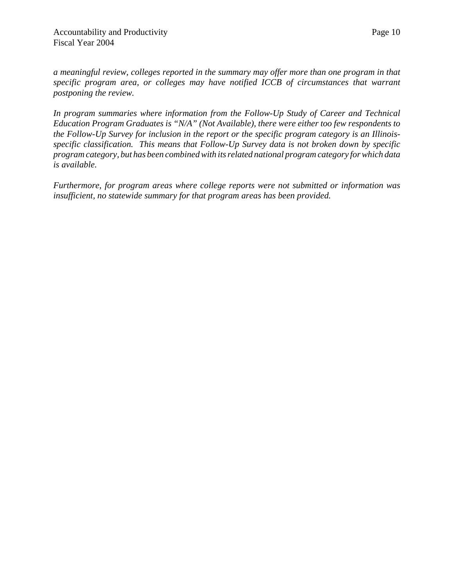*a meaningful review, colleges reported in the summary may offer more than one program in that specific program area, or colleges may have notified ICCB of circumstances that warrant postponing the review.* 

*In program summaries where information from the Follow-Up Study of Career and Technical Education Program Graduates is "N/A" (Not Available), there were either too few respondents to the Follow-Up Survey for inclusion in the report or the specific program category is an Illinoisspecific classification. This means that Follow-Up Survey data is not broken down by specific program category, but has been combined with its related national program category for which data is available.*

*Furthermore, for program areas where college reports were not submitted or information was insufficient, no statewide summary for that program areas has been provided.*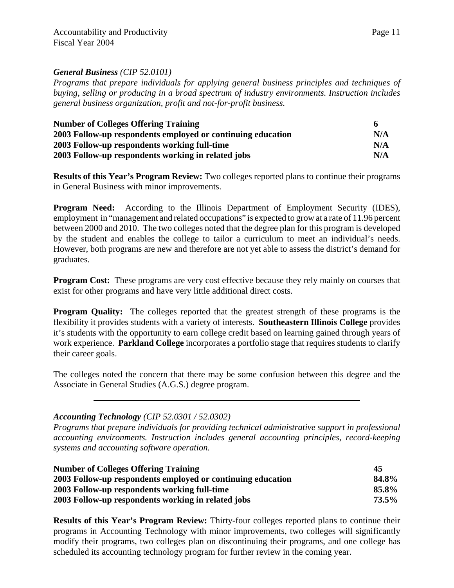#### *General Business (CIP 52.0101)*

*Programs that prepare individuals for applying general business principles and techniques of buying, selling or producing in a broad spectrum of industry environments. Instruction includes general business organization, profit and not-for-profit business.* 

| <b>Number of Colleges Offering Training</b>                 | 6   |
|-------------------------------------------------------------|-----|
| 2003 Follow-up respondents employed or continuing education | N/A |
| 2003 Follow-up respondents working full-time                | N/A |
| 2003 Follow-up respondents working in related jobs          | N/A |

**Results of this Year's Program Review:** Two colleges reported plans to continue their programs in General Business with minor improvements.

**Program Need:** According to the Illinois Department of Employment Security (IDES), employment in "management and related occupations" is expected to grow at a rate of 11.96 percent between 2000 and 2010. The two colleges noted that the degree plan for this program is developed by the student and enables the college to tailor a curriculum to meet an individual's needs. However, both programs are new and therefore are not yet able to assess the district's demand for graduates.

**Program Cost:** These programs are very cost effective because they rely mainly on courses that exist for other programs and have very little additional direct costs.

**Program Quality:** The colleges reported that the greatest strength of these programs is the flexibility it provides students with a variety of interests. **Southeastern Illinois College** provides it's students with the opportunity to earn college credit based on learning gained through years of work experience. **Parkland College** incorporates a portfolio stage that requires students to clarify their career goals.

The colleges noted the concern that there may be some confusion between this degree and the Associate in General Studies (A.G.S.) degree program.

#### *Accounting Technology (CIP 52.0301 / 52.0302)*

*Programs that prepare individuals for providing technical administrative support in professional accounting environments. Instruction includes general accounting principles, record-keeping systems and accounting software operation.* 

| <b>Number of Colleges Offering Training</b>                 | 45    |
|-------------------------------------------------------------|-------|
| 2003 Follow-up respondents employed or continuing education | 84.8% |
| 2003 Follow-up respondents working full-time                | 85.8% |
| 2003 Follow-up respondents working in related jobs          | 73.5% |

**Results of this Year's Program Review:** Thirty-four colleges reported plans to continue their programs in Accounting Technology with minor improvements, two colleges will significantly modify their programs, two colleges plan on discontinuing their programs, and one college has scheduled its accounting technology program for further review in the coming year.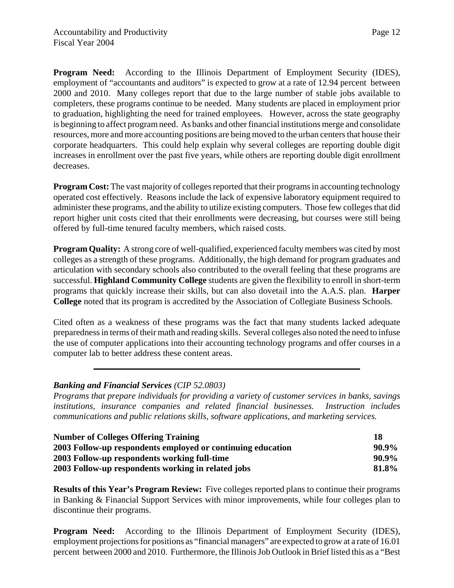**Program Need:** According to the Illinois Department of Employment Security (IDES), employment of "accountants and auditors" is expected to grow at a rate of 12.94 percent between 2000 and 2010. Many colleges report that due to the large number of stable jobs available to completers, these programs continue to be needed. Many students are placed in employment prior to graduation, highlighting the need for trained employees. However, across the state geography is beginning to affect program need. As banks and other financial institutions merge and consolidate resources, more and more accounting positions are being moved to the urban centers that house their corporate headquarters. This could help explain why several colleges are reporting double digit increases in enrollment over the past five years, while others are reporting double digit enrollment decreases.

**Program Cost:** The vast majority of colleges reported that their programs in accounting technology operated cost effectively. Reasons include the lack of expensive laboratory equipment required to administer these programs, and the ability to utilize existing computers. Those few colleges that did report higher unit costs cited that their enrollments were decreasing, but courses were still being offered by full-time tenured faculty members, which raised costs.

**Program Quality:** A strong core of well-qualified, experienced faculty members was cited by most colleges as a strength of these programs. Additionally, the high demand for program graduates and articulation with secondary schools also contributed to the overall feeling that these programs are successful. **Highland Community College** students are given the flexibility to enroll in short-term programs that quickly increase their skills, but can also dovetail into the A.A.S. plan. **Harper College** noted that its program is accredited by the Association of Collegiate Business Schools.

Cited often as a weakness of these programs was the fact that many students lacked adequate preparedness in terms of their math and reading skills. Several colleges also noted the need to infuse the use of computer applications into their accounting technology programs and offer courses in a computer lab to better address these content areas.

#### *Banking and Financial Services (CIP 52.0803)*

*Programs that prepare individuals for providing a variety of customer services in banks, savings institutions, insurance companies and related financial businesses. Instruction includes communications and public relations skills, software applications, and marketing services.*

| <b>Number of Colleges Offering Training</b>                 | 18       |
|-------------------------------------------------------------|----------|
| 2003 Follow-up respondents employed or continuing education | $90.9\%$ |
| 2003 Follow-up respondents working full-time                | $90.9\%$ |
| 2003 Follow-up respondents working in related jobs          | 81.8%    |

**Results of this Year's Program Review:** Five colleges reported plans to continue their programs in Banking & Financial Support Services with minor improvements, while four colleges plan to discontinue their programs.

**Program Need:** According to the Illinois Department of Employment Security (IDES), employment projections for positions as "financial managers" are expected to grow at a rate of 16.01 percent between 2000 and 2010. Furthermore, the Illinois Job Outlook in Brief listed this as a "Best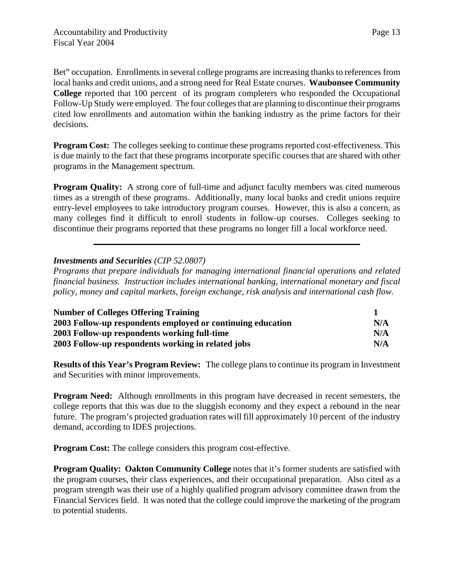Bet" occupation. Enrollments in several college programs are increasing thanks to references from local banks and credit unions, and a strong need for Real Estate courses. **Waubonsee Community College** reported that 100 percent of its program completers who responded the Occupational Follow-Up Study were employed. The four colleges that are planning to discontinue their programs cited low enrollments and automation within the banking industry as the prime factors for their decisions.

**Program Cost:** The colleges seeking to continue these programs reported cost-effectiveness. This is due mainly to the fact that these programs incorporate specific courses that are shared with other programs in the Management spectrum.

**Program Quality:** A strong core of full-time and adjunct faculty members was cited numerous times as a strength of these programs. Additionally, many local banks and credit unions require entry-level employees to take introductory program courses. However, this is also a concern, as many colleges find it difficult to enroll students in follow-up courses. Colleges seeking to discontinue their programs reported that these programs no longer fill a local workforce need.

#### *Investments and Securities (CIP 52.0807)*

*Programs that prepare individuals for managing international financial operations and related financial business. Instruction includes international banking, international monetary and fiscal policy, money and capital markets, foreign exchange, risk analysis and international cash flow.*

| <b>Number of Colleges Offering Training</b>                 |     |
|-------------------------------------------------------------|-----|
| 2003 Follow-up respondents employed or continuing education | N/A |
| 2003 Follow-up respondents working full-time                | N/A |
| 2003 Follow-up respondents working in related jobs          | N/A |

**Results of this Year's Program Review:** The college plans to continue its program in Investment and Securities with minor improvements.

**Program Need:** Although enrollments in this program have decreased in recent semesters, the college reports that this was due to the sluggish economy and they expect a rebound in the near future. The program's projected graduation rates will fill approximately 10 percent of the industry demand, according to IDES projections.

**Program Cost:** The college considers this program cost-effective.

**Program Quality: Oakton Community College** notes that it's former students are satisfied with the program courses, their class experiences, and their occupational preparation. Also cited as a program strength was their use of a highly qualified program advisory committee drawn from the Financial Services field. It was noted that the college could improve the marketing of the program to potential students.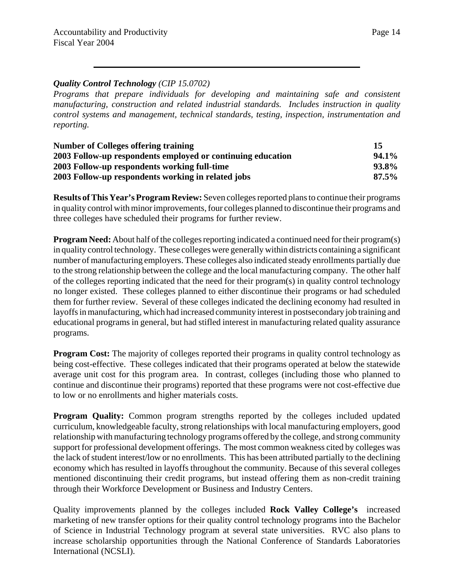#### *Quality Control Technology (CIP 15.0702)*

*Programs that prepare individuals for developing and maintaining safe and consistent manufacturing, construction and related industrial standards. Includes instruction in quality control systems and management, technical standards, testing, inspection, instrumentation and reporting.*

| <b>Number of Colleges offering training</b>                 | 15       |
|-------------------------------------------------------------|----------|
| 2003 Follow-up respondents employed or continuing education | 94.1%    |
| 2003 Follow-up respondents working full-time                | 93.8%    |
| 2003 Follow-up respondents working in related jobs          | $87.5\%$ |

**Results of This Year's Program Review:** Seven colleges reported plans to continue their programs in quality control with minor improvements, four colleges planned to discontinue their programs and three colleges have scheduled their programs for further review.

**Program Need:** About half of the colleges reporting indicated a continued need for their program(s) in quality control technology. These colleges were generally within districts containing a significant number of manufacturing employers. These colleges also indicated steady enrollments partially due to the strong relationship between the college and the local manufacturing company. The other half of the colleges reporting indicated that the need for their program(s) in quality control technology no longer existed. These colleges planned to either discontinue their programs or had scheduled them for further review. Several of these colleges indicated the declining economy had resulted in layoffs in manufacturing, which had increased community interest in postsecondary job training and educational programs in general, but had stifled interest in manufacturing related quality assurance programs.

**Program Cost:** The majority of colleges reported their programs in quality control technology as being cost-effective. These colleges indicated that their programs operated at below the statewide average unit cost for this program area. In contrast, colleges (including those who planned to continue and discontinue their programs) reported that these programs were not cost-effective due to low or no enrollments and higher materials costs.

**Program Quality:** Common program strengths reported by the colleges included updated curriculum, knowledgeable faculty, strong relationships with local manufacturing employers, good relationship with manufacturing technology programs offered by the college, and strong community support for professional development offerings. The most common weakness cited by colleges was the lack of student interest/low or no enrollments. This has been attributed partially to the declining economy which has resulted in layoffs throughout the community. Because of this several colleges mentioned discontinuing their credit programs, but instead offering them as non-credit training through their Workforce Development or Business and Industry Centers.

Quality improvements planned by the colleges included **Rock Valley College's** increased marketing of new transfer options for their quality control technology programs into the Bachelor of Science in Industrial Technology program at several state universities. RVC also plans to increase scholarship opportunities through the National Conference of Standards Laboratories International (NCSLI).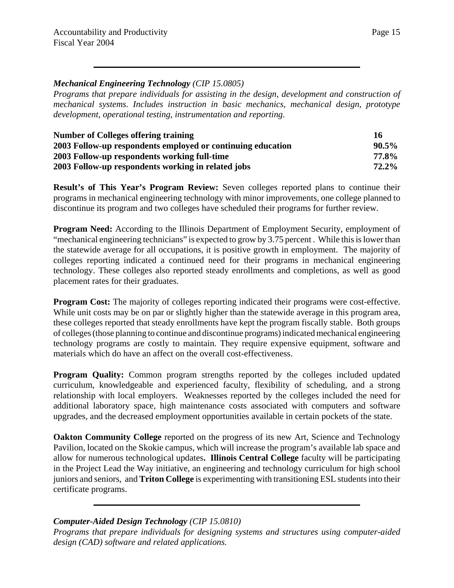#### Page 15

#### *Mechanical Engineering Technology (CIP 15.0805)*

*Programs that prepare individuals for assisting in the design, development and construction of mechanical systems. Includes instruction in basic mechanics, mechanical design, prototype development, operational testing, instrumentation and reporting.*

| <b>Number of Colleges offering training</b>                 | 16       |
|-------------------------------------------------------------|----------|
| 2003 Follow-up respondents employed or continuing education | $90.5\%$ |
| 2003 Follow-up respondents working full-time                | 77.8%    |
| 2003 Follow-up respondents working in related jobs          | $72.2\%$ |

**Result's of This Year's Program Review:** Seven colleges reported plans to continue their programs in mechanical engineering technology with minor improvements, one college planned to discontinue its program and two colleges have scheduled their programs for further review.

**Program Need:** According to the Illinois Department of Employment Security, employment of "mechanical engineering technicians" is expected to grow by 3.75 percent. While this is lower than the statewide average for all occupations, it is positive growth in employment. The majority of colleges reporting indicated a continued need for their programs in mechanical engineering technology. These colleges also reported steady enrollments and completions, as well as good placement rates for their graduates.

**Program Cost:** The majority of colleges reporting indicated their programs were cost-effective. While unit costs may be on par or slightly higher than the statewide average in this program area, these colleges reported that steady enrollments have kept the program fiscally stable. Both groups of colleges (those planning to continue and discontinue programs) indicated mechanical engineering technology programs are costly to maintain. They require expensive equipment, software and materials which do have an affect on the overall cost-effectiveness.

**Program Quality:** Common program strengths reported by the colleges included updated curriculum, knowledgeable and experienced faculty, flexibility of scheduling, and a strong relationship with local employers. Weaknesses reported by the colleges included the need for additional laboratory space, high maintenance costs associated with computers and software upgrades, and the decreased employment opportunities available in certain pockets of the state.

**Oakton Community College** reported on the progress of its new Art, Science and Technology Pavilion, located on the Skokie campus, which will increase the program's available lab space and allow for numerous technological updates**. Illinois Central College** faculty will be participating in the Project Lead the Way initiative, an engineering and technology curriculum for high school juniors and seniors, and **Triton College** is experimenting with transitioning ESL students into their certificate programs.

#### *Computer-Aided Design Technology (CIP 15.0810)*

*Programs that prepare individuals for designing systems and structures using computer-aided design (CAD) software and related applications.*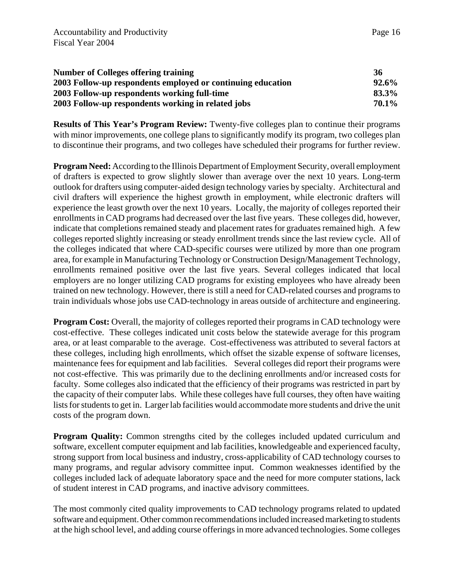| <b>Number of Colleges offering training</b>                 | 36       |
|-------------------------------------------------------------|----------|
| 2003 Follow-up respondents employed or continuing education | $92.6\%$ |
| 2003 Follow-up respondents working full-time                | 83.3%    |
| 2003 Follow-up respondents working in related jobs          | 70.1%    |

**Results of This Year's Program Review:** Twenty-five colleges plan to continue their programs with minor improvements, one college plans to significantly modify its program, two colleges plan to discontinue their programs, and two colleges have scheduled their programs for further review.

**Program Need:** According to the Illinois Department of Employment Security, overall employment of drafters is expected to grow slightly slower than average over the next 10 years. Long-term outlook for drafters using computer-aided design technology varies by specialty. Architectural and civil drafters will experience the highest growth in employment, while electronic drafters will experience the least growth over the next 10 years. Locally, the majority of colleges reported their enrollments in CAD programs had decreased over the last five years. These colleges did, however, indicate that completions remained steady and placement rates for graduates remained high. A few colleges reported slightly increasing or steady enrollment trends since the last review cycle. All of the colleges indicated that where CAD-specific courses were utilized by more than one program area, for example in Manufacturing Technology or Construction Design/Management Technology, enrollments remained positive over the last five years. Several colleges indicated that local employers are no longer utilizing CAD programs for existing employees who have already been trained on new technology. However, there is still a need for CAD-related courses and programs to train individuals whose jobs use CAD-technology in areas outside of architecture and engineering.

**Program Cost:** Overall, the majority of colleges reported their programs in CAD technology were cost-effective. These colleges indicated unit costs below the statewide average for this program area, or at least comparable to the average. Cost-effectiveness was attributed to several factors at these colleges, including high enrollments, which offset the sizable expense of software licenses, maintenance fees for equipment and lab facilities. Several colleges did report their programs were not cost-effective. This was primarily due to the declining enrollments and/or increased costs for faculty. Some colleges also indicated that the efficiency of their programs was restricted in part by the capacity of their computer labs. While these colleges have full courses, they often have waiting lists for students to get in. Larger lab facilities would accommodate more students and drive the unit costs of the program down.

**Program Quality:** Common strengths cited by the colleges included updated curriculum and software, excellent computer equipment and lab facilities, knowledgeable and experienced faculty, strong support from local business and industry, cross-applicability of CAD technology courses to many programs, and regular advisory committee input. Common weaknesses identified by the colleges included lack of adequate laboratory space and the need for more computer stations, lack of student interest in CAD programs, and inactive advisory committees.

The most commonly cited quality improvements to CAD technology programs related to updated software and equipment. Other common recommendations included increased marketing to students at the high school level, and adding course offerings in more advanced technologies. Some colleges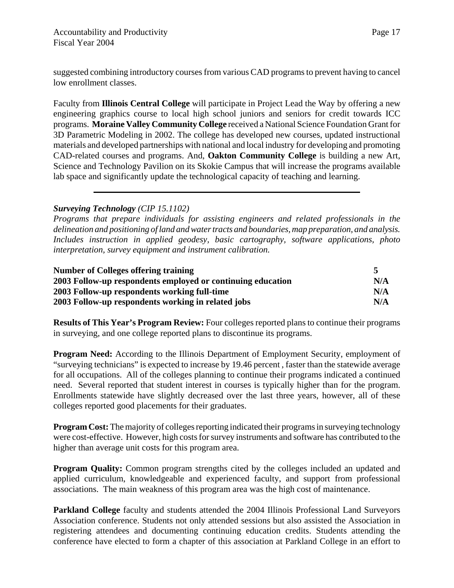suggested combining introductory courses from various CAD programs to prevent having to cancel low enrollment classes.

Faculty from **Illinois Central College** will participate in Project Lead the Way by offering a new engineering graphics course to local high school juniors and seniors for credit towards ICC programs. **Moraine Valley Community College** received a National Science Foundation Grant for 3D Parametric Modeling in 2002. The college has developed new courses, updated instructional materials and developed partnerships with national and local industry for developing and promoting CAD-related courses and programs. And, **Oakton Community College** is building a new Art, Science and Technology Pavilion on its Skokie Campus that will increase the programs available lab space and significantly update the technological capacity of teaching and learning.

#### *Surveying Technology (CIP 15.1102)*

*Programs that prepare individuals for assisting engineers and related professionals in the delineation and positioning of land and water tracts and boundaries, map preparation, and analysis. Includes instruction in applied geodesy, basic cartography, software applications, photo interpretation, survey equipment and instrument calibration.*

| <b>Number of Colleges offering training</b>                 |     |
|-------------------------------------------------------------|-----|
| 2003 Follow-up respondents employed or continuing education | N/A |
| 2003 Follow-up respondents working full-time                | N/A |
| 2003 Follow-up respondents working in related jobs          | N/A |

**Results of This Year's Program Review:** Four colleges reported plans to continue their programs in surveying, and one college reported plans to discontinue its programs.

**Program Need:** According to the Illinois Department of Employment Security, employment of "surveying technicians" is expected to increase by 19.46 percent , faster than the statewide average for all occupations. All of the colleges planning to continue their programs indicated a continued need. Several reported that student interest in courses is typically higher than for the program. Enrollments statewide have slightly decreased over the last three years, however, all of these colleges reported good placements for their graduates.

**Program Cost:** The majority of colleges reporting indicated their programs in surveying technology were cost-effective. However, high costs for survey instruments and software has contributed to the higher than average unit costs for this program area.

**Program Quality:** Common program strengths cited by the colleges included an updated and applied curriculum, knowledgeable and experienced faculty, and support from professional associations. The main weakness of this program area was the high cost of maintenance.

**Parkland College** faculty and students attended the 2004 Illinois Professional Land Surveyors Association conference. Students not only attended sessions but also assisted the Association in registering attendees and documenting continuing education credits. Students attending the conference have elected to form a chapter of this association at Parkland College in an effort to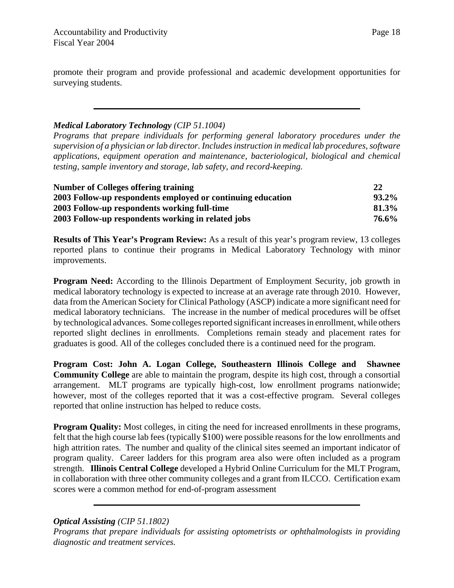promote their program and provide professional and academic development opportunities for surveying students.

#### *Medical Laboratory Technology (CIP 51.1004)*

*Programs that prepare individuals for performing general laboratory procedures under the supervision of a physician or lab director. Includes instruction in medical lab procedures, software applications, equipment operation and maintenance, bacteriological, biological and chemical testing, sample inventory and storage, lab safety, and record-keeping.*

| <b>Number of Colleges offering training</b>                 | <b>22</b> |
|-------------------------------------------------------------|-----------|
| 2003 Follow-up respondents employed or continuing education | $93.2\%$  |
| 2003 Follow-up respondents working full-time                | 81.3%     |
| 2003 Follow-up respondents working in related jobs          | 76.6%     |

**Results of This Year's Program Review:** As a result of this year's program review, 13 colleges reported plans to continue their programs in Medical Laboratory Technology with minor improvements.

**Program Need:** According to the Illinois Department of Employment Security, job growth in medical laboratory technology is expected to increase at an average rate through 2010. However, data from the American Society for Clinical Pathology (ASCP) indicate a more significant need for medical laboratory technicians. The increase in the number of medical procedures will be offset by technological advances. Some colleges reported significant increases in enrollment, while others reported slight declines in enrollments. Completions remain steady and placement rates for graduates is good. All of the colleges concluded there is a continued need for the program.

**Program Cost: John A. Logan College, Southeastern Illinois College and Shawnee Community College** are able to maintain the program, despite its high cost, through a consortial arrangement. MLT programs are typically high-cost, low enrollment programs nationwide; however, most of the colleges reported that it was a cost-effective program. Several colleges reported that online instruction has helped to reduce costs.

**Program Quality:** Most colleges, in citing the need for increased enrollments in these programs, felt that the high course lab fees (typically \$100) were possible reasons for the low enrollments and high attrition rates. The number and quality of the clinical sites seemed an important indicator of program quality. Career ladders for this program area also were often included as a program strength. **Illinois Central College** developed a Hybrid Online Curriculum for the MLT Program, in collaboration with three other community colleges and a grant from ILCCO. Certification exam scores were a common method for end-of-program assessment

*Optical Assisting (CIP 51.1802)*

*Programs that prepare individuals for assisting optometrists or ophthalmologists in providing diagnostic and treatment services.*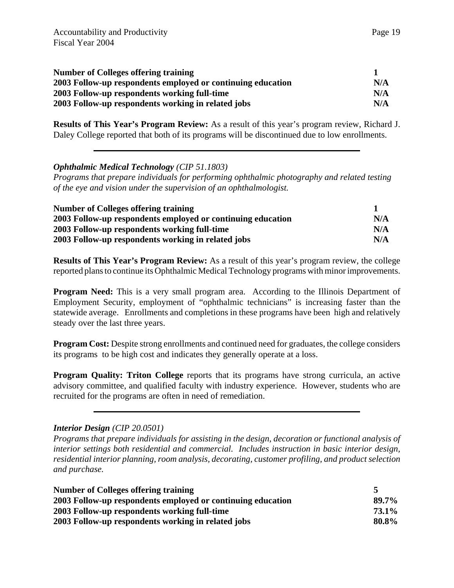| <b>Number of Colleges offering training</b>                 |     |
|-------------------------------------------------------------|-----|
| 2003 Follow-up respondents employed or continuing education | N/A |
| 2003 Follow-up respondents working full-time                | N/A |
| 2003 Follow-up respondents working in related jobs          | N/A |

**Results of This Year's Program Review:** As a result of this year's program review, Richard J. Daley College reported that both of its programs will be discontinued due to low enrollments.

#### *Ophthalmic Medical Technology (CIP 51.1803)*

*Programs that prepare individuals for performing ophthalmic photography and related testing of the eye and vision under the supervision of an ophthalmologist.* 

| <b>Number of Colleges offering training</b>                 |     |
|-------------------------------------------------------------|-----|
| 2003 Follow-up respondents employed or continuing education | N/A |
| 2003 Follow-up respondents working full-time                | N/A |
| 2003 Follow-up respondents working in related jobs          | N/A |

**Results of This Year's Program Review:** As a result of this year's program review, the college reported plans to continue its Ophthalmic Medical Technology programs with minor improvements.

**Program Need:** This is a very small program area. According to the Illinois Department of Employment Security, employment of "ophthalmic technicians" is increasing faster than the statewide average. Enrollments and completions in these programs have been high and relatively steady over the last three years.

**Program Cost:** Despite strong enrollments and continued need for graduates, the college considers its programs to be high cost and indicates they generally operate at a loss.

**Program Quality: Triton College** reports that its programs have strong curricula, an active advisory committee, and qualified faculty with industry experience. However, students who are recruited for the programs are often in need of remediation.

#### *Interior Design (CIP 20.0501)*

*Programs that prepare individuals for assisting in the design, decoration or functional analysis of interior settings both residential and commercial. Includes instruction in basic interior design, residential interior planning, room analysis, decorating, customer profiling, and product selection and purchase.*

| <b>Number of Colleges offering training</b>                 |       |
|-------------------------------------------------------------|-------|
| 2003 Follow-up respondents employed or continuing education | 89.7% |
| 2003 Follow-up respondents working full-time                | 73.1% |
| 2003 Follow-up respondents working in related jobs          | 80.8% |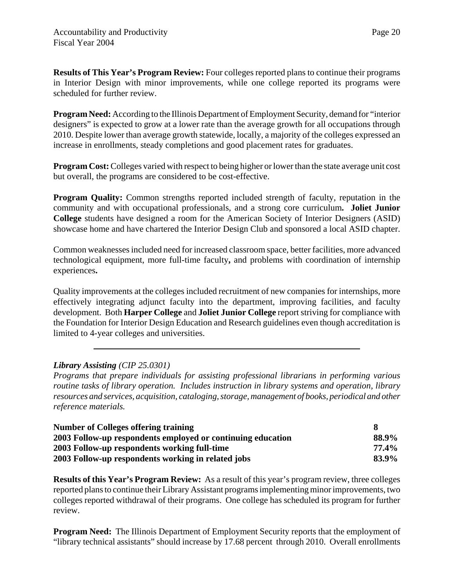**Results of This Year's Program Review:** Four colleges reported plans to continue their programs in Interior Design with minor improvements, while one college reported its programs were scheduled for further review.

**Program Need:** According to the Illinois Department of Employment Security, demand for "interior designers" is expected to grow at a lower rate than the average growth for all occupations through 2010. Despite lower than average growth statewide, locally, a majority of the colleges expressed an increase in enrollments, steady completions and good placement rates for graduates.

**Program Cost:** Colleges varied with respect to being higher or lower than the state average unit cost but overall, the programs are considered to be cost-effective.

**Program Quality:** Common strengths reported included strength of faculty, reputation in the community and with occupational professionals, and a strong core curriculum**. Joliet Junior College** students have designed a room for the American Society of Interior Designers (ASID) showcase home and have chartered the Interior Design Club and sponsored a local ASID chapter.

Common weaknesses included need for increased classroom space, better facilities, more advanced technological equipment, more full-time faculty**,** and problems with coordination of internship experiences**.**

Quality improvements at the colleges included recruitment of new companies for internships, more effectively integrating adjunct faculty into the department, improving facilities, and faculty development. Both **Harper College** and **Joliet Junior College** report striving for compliance with the Foundation for Interior Design Education and Research guidelines even though accreditation is limited to 4-year colleges and universities.

#### *Library Assisting (CIP 25.0301)*

*Programs that prepare individuals for assisting professional librarians in performing various routine tasks of library operation. Includes instruction in library systems and operation, library resources and services, acquisition, cataloging, storage, management of books, periodical and other reference materials.*

| Number of Colleges offering training                        |       |
|-------------------------------------------------------------|-------|
| 2003 Follow-up respondents employed or continuing education | 88.9% |
| 2003 Follow-up respondents working full-time                | 77.4% |
| 2003 Follow-up respondents working in related jobs          | 83.9% |

**Results of this Year's Program Review:** As a result of this year's program review, three colleges reported plans to continue their Library Assistant programs implementing minor improvements, two colleges reported withdrawal of their programs. One college has scheduled its program for further review.

**Program Need:** The Illinois Department of Employment Security reports that the employment of "library technical assistants" should increase by 17.68 percent through 2010. Overall enrollments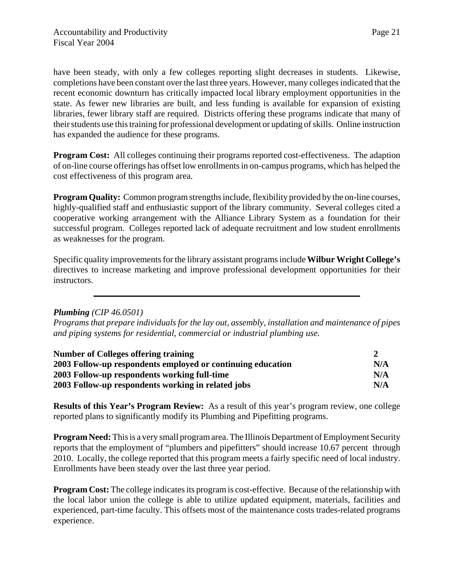have been steady, with only a few colleges reporting slight decreases in students. Likewise, completions have been constant over the last three years. However, many colleges indicated that the recent economic downturn has critically impacted local library employment opportunities in the state. As fewer new libraries are built, and less funding is available for expansion of existing libraries, fewer library staff are required. Districts offering these programs indicate that many of their students use this training for professional development or updating of skills. Online instruction has expanded the audience for these programs.

**Program Cost:** All colleges continuing their programs reported cost-effectiveness. The adaption of on-line course offerings has offset low enrollments in on-campus programs, which has helped the cost effectiveness of this program area.

**Program Quality:** Common program strengths include, flexibility provided by the on-line courses, highly-qualified staff and enthusiastic support of the library community. Several colleges cited a cooperative working arrangement with the Alliance Library System as a foundation for their successful program. Colleges reported lack of adequate recruitment and low student enrollments as weaknesses for the program.

Specific quality improvements for the library assistant programs include **Wilbur Wright College's** directives to increase marketing and improve professional development opportunities for their instructors.

#### *Plumbing (CIP 46.0501)*

*Programs that prepare individuals for the lay out, assembly, installation and maintenance of pipes and piping systems for residential, commercial or industrial plumbing use.* 

| <b>Number of Colleges offering training</b>                 |     |
|-------------------------------------------------------------|-----|
| 2003 Follow-up respondents employed or continuing education | N/A |
| 2003 Follow-up respondents working full-time                | N/A |
| 2003 Follow-up respondents working in related jobs          | N/A |

**Results of this Year's Program Review:** As a result of this year's program review, one college reported plans to significantly modify its Plumbing and Pipefitting programs.

**Program Need:** This is a very small program area. The Illinois Department of Employment Security reports that the employment of "plumbers and pipefitters" should increase 10.67 percent through 2010.Locally, the college reported that this program meets a fairly specific need of local industry. Enrollments have been steady over the last three year period.

**Program Cost:** The college indicates its program is cost-effective. Because of the relationship with the local labor union the college is able to utilize updated equipment, materials, facilities and experienced, part-time faculty. This offsets most of the maintenance costs trades-related programs experience.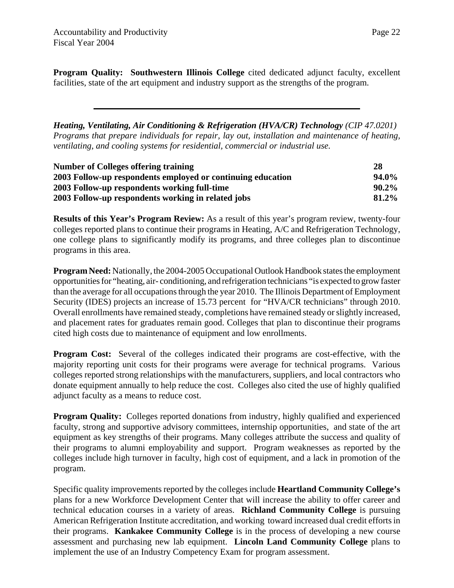**Program Quality: Southwestern Illinois College** cited dedicated adjunct faculty, excellent facilities, state of the art equipment and industry support as the strengths of the program.

*Heating, Ventilating, Air Conditioning & Refrigeration (HVA/CR) Technology (CIP 47.0201) Programs that prepare individuals for repair, lay out, installation and maintenance of heating, ventilating, and cooling systems for residential, commercial or industrial use.* 

| <b>Number of Colleges offering training</b>                 | 28    |
|-------------------------------------------------------------|-------|
| 2003 Follow-up respondents employed or continuing education | 94.0% |
| 2003 Follow-up respondents working full-time                | 90.2% |
| 2003 Follow-up respondents working in related jobs          | 81.2% |

**Results of this Year's Program Review:** As a result of this year's program review, twenty-four colleges reported plans to continue their programs in Heating, A/C and Refrigeration Technology, one college plans to significantly modify its programs, and three colleges plan to discontinue programs in this area.

**Program Need:** Nationally, the 2004-2005 Occupational Outlook Handbook states the employment opportunities for "heating, air- conditioning, and refrigeration technicians "is expected to grow faster than the average for all occupations through the year 2010. The Illinois Department of Employment Security (IDES) projects an increase of 15.73 percent for "HVA/CR technicians" through 2010. Overall enrollments have remained steady, completions have remained steady or slightly increased, and placement rates for graduates remain good. Colleges that plan to discontinue their programs cited high costs due to maintenance of equipment and low enrollments.

**Program Cost:** Several of the colleges indicated their programs are cost-effective, with the majority reporting unit costs for their programs were average for technical programs. Various colleges reported strong relationships with the manufacturers, suppliers, and local contractors who donate equipment annually to help reduce the cost. Colleges also cited the use of highly qualified adjunct faculty as a means to reduce cost.

**Program Quality:** Colleges reported donations from industry, highly qualified and experienced faculty, strong and supportive advisory committees, internship opportunities, and state of the art equipment as key strengths of their programs. Many colleges attribute the success and quality of their programs to alumni employability and support. Program weaknesses as reported by the colleges include high turnover in faculty, high cost of equipment, and a lack in promotion of the program.

Specific quality improvements reported by the colleges include **Heartland Community College's** plans for a new Workforce Development Center that will increase the ability to offer career and technical education courses in a variety of areas. **Richland Community College** is pursuing American Refrigeration Institute accreditation, and working toward increased dual credit efforts in their programs. **Kankakee Community College** is in the process of developing a new course assessment and purchasing new lab equipment. **Lincoln Land Community College** plans to implement the use of an Industry Competency Exam for program assessment.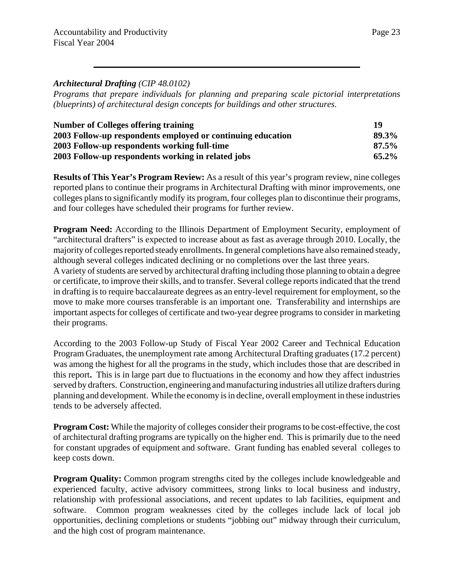*Programs that prepare individuals for planning and preparing scale pictorial interpretations (blueprints) of architectural design concepts for buildings and other structures.* 

| <b>Number of Colleges offering training</b>                 | 19       |
|-------------------------------------------------------------|----------|
| 2003 Follow-up respondents employed or continuing education | 89.3%    |
| 2003 Follow-up respondents working full-time                | $87.5\%$ |
| 2003 Follow-up respondents working in related jobs          | $65.2\%$ |

**Results of This Year's Program Review:** As a result of this year's program review, nine colleges reported plans to continue their programs in Architectural Drafting with minor improvements, one colleges plans to significantly modify its program, four colleges plan to discontinue their programs, and four colleges have scheduled their programs for further review.

**Program Need:** According to the Illinois Department of Employment Security, employment of "architectural drafters" is expected to increase about as fast as average through 2010. Locally, the majority of colleges reported steady enrollments. In general completions have also remained steady, although several colleges indicated declining or no completions over the last three years.

A variety of students are served by architectural drafting including those planning to obtain a degree or certificate, to improve their skills, and to transfer. Several college reports indicated that the trend in drafting is to require baccalaureate degrees as an entry-level requirement for employment, so the move to make more courses transferable is an important one. Transferability and internships are important aspects for colleges of certificate and two-year degree programs to consider in marketing their programs.

According to the 2003 Follow-up Study of Fiscal Year 2002 Career and Technical Education Program Graduates, the unemployment rate among Architectural Drafting graduates (17.2 percent) was among the highest for all the programs in the study, which includes those that are described in this report**.** This is in large part due to fluctuations in the economy and how they affect industries served by drafters. Construction, engineering and manufacturing industries all utilize drafters during planning and development. While the economy is in decline, overall employment in these industries tends to be adversely affected.

**Program Cost:** While the majority of colleges consider their programs to be cost-effective, the cost of architectural drafting programs are typically on the higher end. This is primarily due to the need for constant upgrades of equipment and software. Grant funding has enabled several colleges to keep costs down.

**Program Quality:** Common program strengths cited by the colleges include knowledgeable and experienced faculty, active advisory committees, strong links to local business and industry, relationship with professional associations, and recent updates to lab facilities, equipment and software. Common program weaknesses cited by the colleges include lack of local job opportunities, declining completions or students "jobbing out" midway through their curriculum, and the high cost of program maintenance.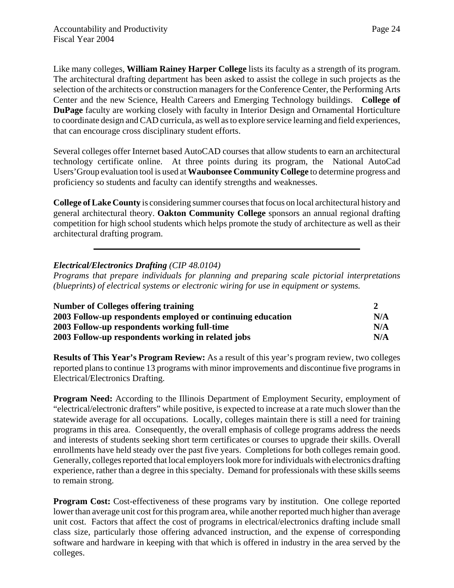Like many colleges, **William Rainey Harper College** lists its faculty as a strength of its program. The architectural drafting department has been asked to assist the college in such projects as the selection of the architects or construction managers for the Conference Center, the Performing Arts Center and the new Science, Health Careers and Emerging Technology buildings. **College of DuPage** faculty are working closely with faculty in Interior Design and Ornamental Horticulture to coordinate design and CAD curricula, as well as to explore service learning and field experiences, that can encourage cross disciplinary student efforts.

Several colleges offer Internet based AutoCAD courses that allow students to earn an architectural technology certificate online. At three points during its program, the National AutoCad Users'Group evaluation tool is used at **Waubonsee Community College** to determine progress and proficiency so students and faculty can identify strengths and weaknesses.

**College of Lake County** is considering summer courses that focus on local architectural history and general architectural theory. **Oakton Community College** sponsors an annual regional drafting competition for high school students which helps promote the study of architecture as well as their architectural drafting program.

#### *Electrical/Electronics Drafting (CIP 48.0104)*

*Programs that prepare individuals for planning and preparing scale pictorial interpretations (blueprints) of electrical systems or electronic wiring for use in equipment or systems.* 

| <b>Number of Colleges offering training</b>                 |     |
|-------------------------------------------------------------|-----|
| 2003 Follow-up respondents employed or continuing education | N/A |
| 2003 Follow-up respondents working full-time                | N/A |
| 2003 Follow-up respondents working in related jobs          | N/A |

**Results of This Year's Program Review:** As a result of this year's program review, two colleges reported plans to continue 13 programs with minor improvements and discontinue five programs in Electrical/Electronics Drafting.

**Program Need:** According to the Illinois Department of Employment Security, employment of "electrical/electronic drafters" while positive, is expected to increase at a rate much slower than the statewide average for all occupations. Locally, colleges maintain there is still a need for training programs in this area. Consequently, the overall emphasis of college programs address the needs and interests of students seeking short term certificates or courses to upgrade their skills. Overall enrollments have held steady over the past five years. Completions for both colleges remain good. Generally, colleges reported that local employers look more for individuals with electronics drafting experience, rather than a degree in this specialty. Demand for professionals with these skills seems to remain strong.

**Program Cost:** Cost-effectiveness of these programs vary by institution. One college reported lower than average unit cost for this program area, while another reported much higher than average unit cost. Factors that affect the cost of programs in electrical/electronics drafting include small class size, particularly those offering advanced instruction, and the expense of corresponding software and hardware in keeping with that which is offered in industry in the area served by the colleges.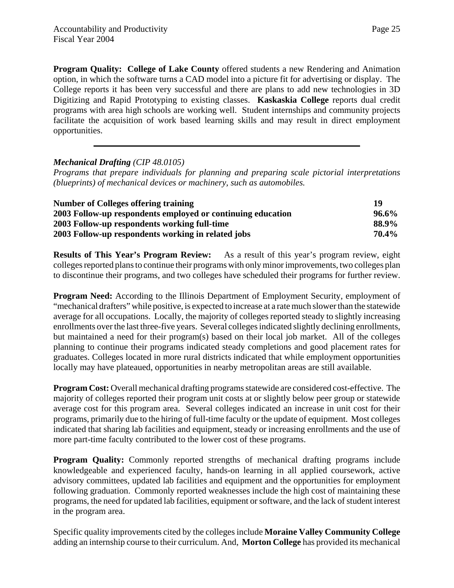**Program Quality: College of Lake County** offered students a new Rendering and Animation option, in which the software turns a CAD model into a picture fit for advertising or display. The College reports it has been very successful and there are plans to add new technologies in 3D Digitizing and Rapid Prototyping to existing classes. **Kaskaskia College** reports dual credit programs with area high schools are working well. Student internships and community projects facilitate the acquisition of work based learning skills and may result in direct employment opportunities.

#### *Mechanical Drafting (CIP 48.0105)*

*Programs that prepare individuals for planning and preparing scale pictorial interpretations (blueprints) of mechanical devices or machinery, such as automobiles.* 

| <b>Number of Colleges offering training</b>                 | 19    |
|-------------------------------------------------------------|-------|
| 2003 Follow-up respondents employed or continuing education | 96.6% |
| 2003 Follow-up respondents working full-time                | 88.9% |
| 2003 Follow-up respondents working in related jobs          | 70.4% |

**Results of This Year's Program Review:** As a result of this year's program review, eight colleges reported plans to continue their programs with only minor improvements, two colleges plan to discontinue their programs, and two colleges have scheduled their programs for further review.

**Program Need:** According to the Illinois Department of Employment Security, employment of "mechanical drafters" while positive, is expected to increase at a rate much slower than the statewide average for all occupations. Locally, the majority of colleges reported steady to slightly increasing enrollments over the last three-five years. Several colleges indicated slightly declining enrollments, but maintained a need for their program(s) based on their local job market. All of the colleges planning to continue their programs indicated steady completions and good placement rates for graduates. Colleges located in more rural districts indicated that while employment opportunities locally may have plateaued, opportunities in nearby metropolitan areas are still available.

**Program Cost:** Overall mechanical drafting programs statewide are considered cost-effective. The majority of colleges reported their program unit costs at or slightly below peer group or statewide average cost for this program area. Several colleges indicated an increase in unit cost for their programs, primarily due to the hiring of full-time faculty or the update of equipment. Most colleges indicated that sharing lab facilities and equipment, steady or increasing enrollments and the use of more part-time faculty contributed to the lower cost of these programs.

**Program Quality:** Commonly reported strengths of mechanical drafting programs include knowledgeable and experienced faculty, hands-on learning in all applied coursework, active advisory committees, updated lab facilities and equipment and the opportunities for employment following graduation. Commonly reported weaknesses include the high cost of maintaining these programs, the need for updated lab facilities, equipment or software, and the lack of student interest in the program area.

Specific quality improvements cited by the colleges include **Moraine Valley Community College** adding an internship course to their curriculum. And, **Morton College** has provided its mechanical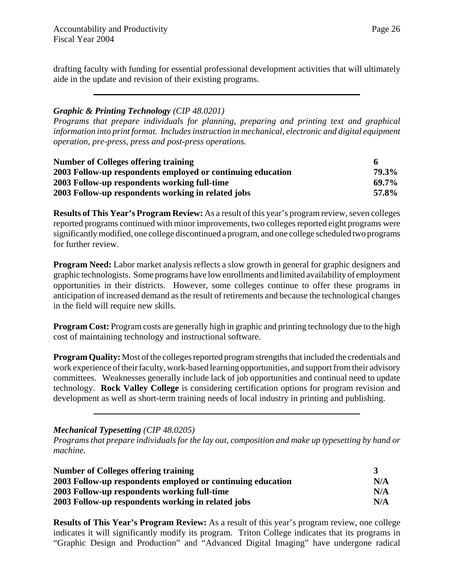Page 26

drafting faculty with funding for essential professional development activities that will ultimately aide in the update and revision of their existing programs.

#### *Graphic & Printing Technology (CIP 48.0201)*

*Programs that prepare individuals for planning, preparing and printing text and graphical information into print format. Includes instruction in mechanical, electronic and digital equipment operation, pre-press, press and post-press operations.* 

| <b>Number of Colleges offering training</b>                 | 6     |
|-------------------------------------------------------------|-------|
| 2003 Follow-up respondents employed or continuing education | 79.3% |
| 2003 Follow-up respondents working full-time                | 69.7% |
| 2003 Follow-up respondents working in related jobs          | 57.8% |

**Results of This Year's Program Review:** As a result of this year's program review, seven colleges reported programs continued with minor improvements, two colleges reported eight programs were significantly modified, one college discontinued a program, and one college scheduled two programs for further review.

**Program Need:** Labor market analysis reflects a slow growth in general for graphic designers and graphic technologists. Some programs have low enrollments and limited availability of employment opportunities in their districts. However, some colleges continue to offer these programs in anticipation of increased demand as the result of retirements and because the technological changes in the field will require new skills.

**Program Cost:** Program costs are generally high in graphic and printing technology due to the high cost of maintaining technology and instructional software.

**Program Quality:** Most of the colleges reported program strengths that included the credentials and work experience of their faculty, work-based learning opportunities, and support from their advisory committees. Weaknesses generally include lack of job opportunities and continual need to update technology. **Rock Valley College** is considering certification options for program revision and development as well as short-term training needs of local industry in printing and publishing.

*Mechanical Typesetting (CIP 48.0205)*

*Programs that prepare individuals for the lay out, composition and make up typesetting by hand or machine.* 

| <b>Number of Colleges offering training</b>                 |     |
|-------------------------------------------------------------|-----|
| 2003 Follow-up respondents employed or continuing education | N/A |
| 2003 Follow-up respondents working full-time                | N/A |
| 2003 Follow-up respondents working in related jobs          | N/A |

**Results of This Year's Program Review:** As a result of this year's program review, one college indicates it will significantly modify its program. Triton College indicates that its programs in "Graphic Design and Production" and "Advanced Digital Imaging" have undergone radical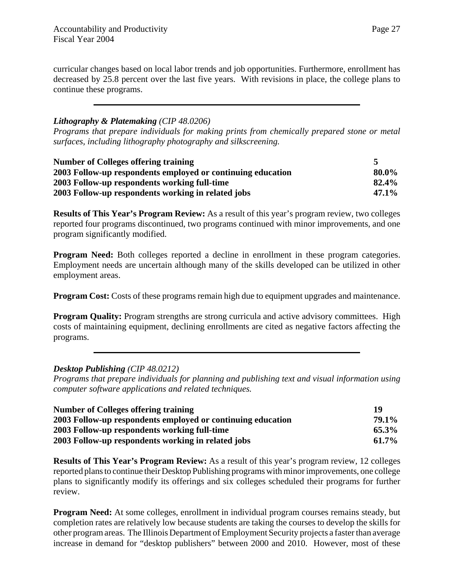curricular changes based on local labor trends and job opportunities. Furthermore, enrollment has decreased by 25.8 percent over the last five years. With revisions in place, the college plans to continue these programs.

#### *Lithography & Platemaking (CIP 48.0206)*

*Programs that prepare individuals for making prints from chemically prepared stone or metal surfaces, including lithography photography and silkscreening.* 

| <b>Number of Colleges offering training</b>                 |          |
|-------------------------------------------------------------|----------|
| 2003 Follow-up respondents employed or continuing education | 80.0%    |
| 2003 Follow-up respondents working full-time                | 82.4%    |
| 2003 Follow-up respondents working in related jobs          | $47.1\%$ |

**Results of This Year's Program Review:** As a result of this year's program review, two colleges reported four programs discontinued, two programs continued with minor improvements, and one program significantly modified.

**Program Need:** Both colleges reported a decline in enrollment in these program categories. Employment needs are uncertain although many of the skills developed can be utilized in other employment areas.

**Program Cost:** Costs of these programs remain high due to equipment upgrades and maintenance.

**Program Quality:** Program strengths are strong curricula and active advisory committees. High costs of maintaining equipment, declining enrollments are cited as negative factors affecting the programs.

#### *Desktop Publishing (CIP 48.0212)*

*Programs that prepare individuals for planning and publishing text and visual information using computer software applications and related techniques.* 

| <b>Number of Colleges offering training</b>                 | 19           |
|-------------------------------------------------------------|--------------|
| 2003 Follow-up respondents employed or continuing education | <b>79.1%</b> |
| 2003 Follow-up respondents working full-time                | 65.3%        |
| 2003 Follow-up respondents working in related jobs          | $61.7\%$     |

**Results of This Year's Program Review:** As a result of this year's program review, 12 colleges reported plans to continue their Desktop Publishing programs with minor improvements, one college plans to significantly modify its offerings and six colleges scheduled their programs for further review.

**Program Need:** At some colleges, enrollment in individual program courses remains steady, but completion rates are relatively low because students are taking the courses to develop the skills for other program areas. The Illinois Department of Employment Security projects a faster than average increase in demand for "desktop publishers" between 2000 and 2010. However, most of these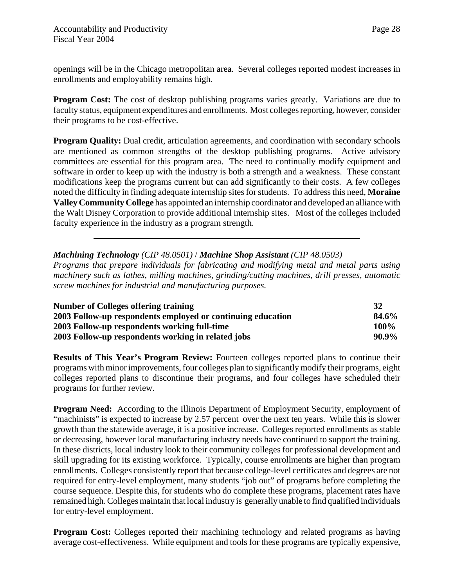openings will be in the Chicago metropolitan area. Several colleges reported modest increases in enrollments and employability remains high.

**Program Cost:** The cost of desktop publishing programs varies greatly. Variations are due to faculty status, equipment expenditures and enrollments. Most colleges reporting, however, consider their programs to be cost-effective.

**Program Quality:** Dual credit, articulation agreements, and coordination with secondary schools are mentioned as common strengths of the desktop publishing programs. Active advisory committees are essential for this program area. The need to continually modify equipment and software in order to keep up with the industry is both a strength and a weakness. These constant modifications keep the programs current but can add significantly to their costs. A few colleges noted the difficulty in finding adequate internship sites for students. To address this need, **Moraine Valley Community College** has appointed an internship coordinator and developed an alliance with the Walt Disney Corporation to provide additional internship sites. Most of the colleges included faculty experience in the industry as a program strength.

*Machining Technology (CIP 48.0501)* / *Machine Shop Assistant (CIP 48.0503)*

*Programs that prepare individuals for fabricating and modifying metal and metal parts using machinery such as lathes, milling machines, grinding/cutting machines, drill presses, automatic screw machines for industrial and manufacturing purposes.* 

| <b>Number of Colleges offering training</b>                 | 32    |
|-------------------------------------------------------------|-------|
| 2003 Follow-up respondents employed or continuing education | 84.6% |
| 2003 Follow-up respondents working full-time                | 100%  |
| 2003 Follow-up respondents working in related jobs          | 90.9% |

**Results of This Year's Program Review:** Fourteen colleges reported plans to continue their programs with minor improvements, four colleges plan to significantly modify their programs, eight colleges reported plans to discontinue their programs, and four colleges have scheduled their programs for further review.

**Program Need:** According to the Illinois Department of Employment Security, employment of "machinists" is expected to increase by 2.57 percent over the next ten years. While this is slower growth than the statewide average, it is a positive increase. Colleges reported enrollments as stable or decreasing, however local manufacturing industry needs have continued to support the training. In these districts, local industry look to their community colleges for professional development and skill upgrading for its existing workforce. Typically, course enrollments are higher than program enrollments. Colleges consistently report that because college-level certificates and degrees are not required for entry-level employment, many students "job out" of programs before completing the course sequence. Despite this, for students who do complete these programs, placement rates have remained high. Colleges maintain that local industry is generally unable to find qualified individuals for entry-level employment.

**Program Cost:** Colleges reported their machining technology and related programs as having average cost-effectiveness. While equipment and tools for these programs are typically expensive,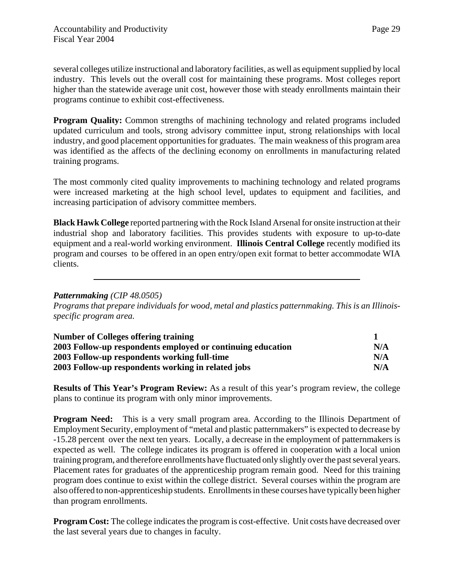several colleges utilize instructional and laboratory facilities, as well as equipment supplied by local industry. This levels out the overall cost for maintaining these programs. Most colleges report higher than the statewide average unit cost, however those with steady enrollments maintain their programs continue to exhibit cost-effectiveness.

**Program Quality:** Common strengths of machining technology and related programs included updated curriculum and tools, strong advisory committee input, strong relationships with local industry, and good placement opportunities for graduates. The main weakness of this program area was identified as the affects of the declining economy on enrollments in manufacturing related training programs.

The most commonly cited quality improvements to machining technology and related programs were increased marketing at the high school level, updates to equipment and facilities, and increasing participation of advisory committee members.

**Black Hawk College** reported partnering with the Rock Island Arsenal for onsite instruction at their industrial shop and laboratory facilities. This provides students with exposure to up-to-date equipment and a real-world working environment. **Illinois Central College** recently modified its program and courses to be offered in an open entry/open exit format to better accommodate WIA clients.

#### *Patternmaking (CIP 48.0505)*

*Programs that prepare individuals for wood, metal and plastics patternmaking. This is an Illinoisspecific program area.* 

| <b>Number of Colleges offering training</b>                 |     |
|-------------------------------------------------------------|-----|
| 2003 Follow-up respondents employed or continuing education | N/A |
| 2003 Follow-up respondents working full-time                | N/A |
| 2003 Follow-up respondents working in related jobs          | N/A |

**Results of This Year's Program Review:** As a result of this year's program review, the college plans to continue its program with only minor improvements.

**Program Need:** This is a very small program area. According to the Illinois Department of Employment Security, employment of "metal and plastic patternmakers" is expected to decrease by -15.28 percent over the next ten years. Locally, a decrease in the employment of patternmakers is expected as well. The college indicates its program is offered in cooperation with a local union training program, and therefore enrollments have fluctuated only slightly over the past several years. Placement rates for graduates of the apprenticeship program remain good. Need for this training program does continue to exist within the college district. Several courses within the program are also offered to non-apprenticeship students. Enrollments in these courses have typically been higher than program enrollments.

**Program Cost:** The college indicates the program is cost-effective. Unit costs have decreased over the last several years due to changes in faculty.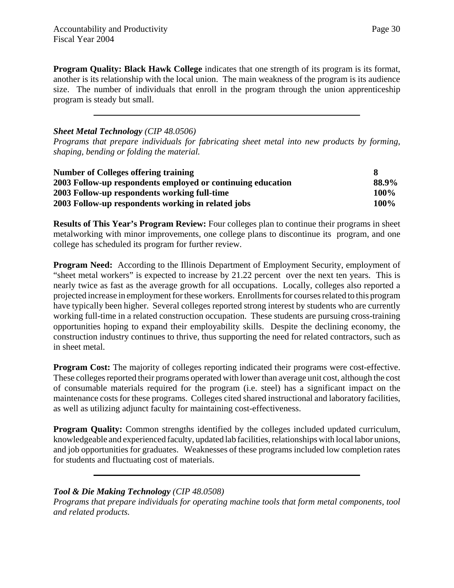**Program Quality: Black Hawk College** indicates that one strength of its program is its format, another is its relationship with the local union. The main weakness of the program is its audience size. The number of individuals that enroll in the program through the union apprenticeship program is steady but small.

#### *Sheet Metal Technology (CIP 48.0506)*

*Programs that prepare individuals for fabricating sheet metal into new products by forming, shaping, bending or folding the material.*

| <b>Number of Colleges offering training</b>                 |             |
|-------------------------------------------------------------|-------------|
| 2003 Follow-up respondents employed or continuing education | 88.9%       |
| 2003 Follow-up respondents working full-time                | <b>100%</b> |
| 2003 Follow-up respondents working in related jobs          | 100%        |

**Results of This Year's Program Review:** Four colleges plan to continue their programs in sheet metalworking with minor improvements, one college plans to discontinue its program, and one college has scheduled its program for further review.

**Program Need:** According to the Illinois Department of Employment Security, employment of "sheet metal workers" is expected to increase by 21.22 percent over the next ten years. This is nearly twice as fast as the average growth for all occupations. Locally, colleges also reported a projected increase in employment for these workers. Enrollments for courses related to this program have typically been higher. Several colleges reported strong interest by students who are currently working full-time in a related construction occupation. These students are pursuing cross-training opportunities hoping to expand their employability skills. Despite the declining economy, the construction industry continues to thrive, thus supporting the need for related contractors, such as in sheet metal.

**Program Cost:** The majority of colleges reporting indicated their programs were cost-effective. These colleges reported their programs operated with lower than average unit cost, although the cost of consumable materials required for the program (i.e. steel) has a significant impact on the maintenance costs for these programs. Colleges cited shared instructional and laboratory facilities, as well as utilizing adjunct faculty for maintaining cost-effectiveness.

**Program Quality:** Common strengths identified by the colleges included updated curriculum, knowledgeable and experienced faculty, updated lab facilities, relationships with local labor unions, and job opportunities for graduates. Weaknesses of these programs included low completion rates for students and fluctuating cost of materials.

#### *Tool & Die Making Technology (CIP 48.0508)*

*Programs that prepare individuals for operating machine tools that form metal components, tool and related products.*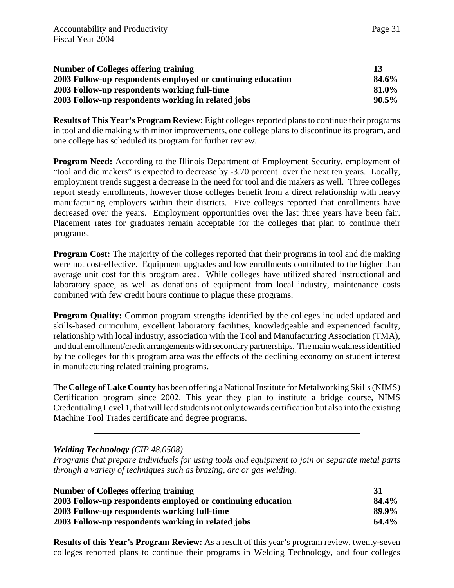| <b>Number of Colleges offering training</b>                 | 13       |
|-------------------------------------------------------------|----------|
| 2003 Follow-up respondents employed or continuing education | 84.6%    |
| 2003 Follow-up respondents working full-time                | 81.0%    |
| 2003 Follow-up respondents working in related jobs          | $90.5\%$ |

**Results of This Year's Program Review:** Eight colleges reported plans to continue their programs in tool and die making with minor improvements, one college plans to discontinue its program, and one college has scheduled its program for further review.

**Program Need:** According to the Illinois Department of Employment Security, employment of "tool and die makers" is expected to decrease by -3.70 percent over the next ten years. Locally, employment trends suggest a decrease in the need for tool and die makers as well. Three colleges report steady enrollments, however those colleges benefit from a direct relationship with heavy manufacturing employers within their districts. Five colleges reported that enrollments have decreased over the years. Employment opportunities over the last three years have been fair. Placement rates for graduates remain acceptable for the colleges that plan to continue their programs.

**Program Cost:** The majority of the colleges reported that their programs in tool and die making were not cost-effective. Equipment upgrades and low enrollments contributed to the higher than average unit cost for this program area. While colleges have utilized shared instructional and laboratory space, as well as donations of equipment from local industry, maintenance costs combined with few credit hours continue to plague these programs.

**Program Quality:** Common program strengths identified by the colleges included updated and skills-based curriculum, excellent laboratory facilities, knowledgeable and experienced faculty, relationship with local industry, association with the Tool and Manufacturing Association (TMA), and dual enrollment/credit arrangements with secondary partnerships. The main weakness identified by the colleges for this program area was the effects of the declining economy on student interest in manufacturing related training programs.

The **College of Lake County** has been offering a National Institute for Metalworking Skills (NIMS) Certification program since 2002. This year they plan to institute a bridge course, NIMS Credentialing Level 1, that will lead students not only towards certification but also into the existing Machine Tool Trades certificate and degree programs.

*Welding Technology (CIP 48.0508)*

*Programs that prepare individuals for using tools and equipment to join or separate metal parts through a variety of techniques such as brazing, arc or gas welding.* 

| <b>Number of Colleges offering training</b>                 | 31    |
|-------------------------------------------------------------|-------|
| 2003 Follow-up respondents employed or continuing education | 84.4% |
| 2003 Follow-up respondents working full-time                | 89.9% |
| 2003 Follow-up respondents working in related jobs          | 64.4% |

**Results of this Year's Program Review:** As a result of this year's program review, twenty-seven colleges reported plans to continue their programs in Welding Technology, and four colleges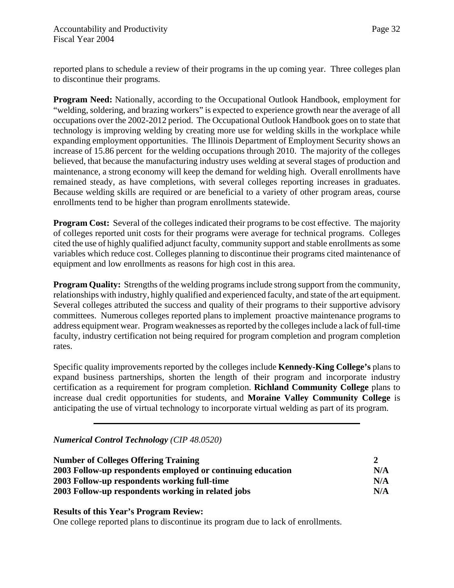reported plans to schedule a review of their programs in the up coming year. Three colleges plan to discontinue their programs.

**Program Need:** Nationally, according to the Occupational Outlook Handbook, employment for "welding, soldering, and brazing workers" is expected to experience growth near the average of all occupations over the 2002-2012 period. The Occupational Outlook Handbook goes on to state that technology is improving welding by creating more use for welding skills in the workplace while expanding employment opportunities. The Illinois Department of Employment Security shows an increase of 15.86 percent for the welding occupations through 2010. The majority of the colleges believed, that because the manufacturing industry uses welding at several stages of production and maintenance, a strong economy will keep the demand for welding high.Overall enrollments have remained steady, as have completions, with several colleges reporting increases in graduates. Because welding skills are required or are beneficial to a variety of other program areas, course enrollments tend to be higher than program enrollments statewide.

**Program Cost:** Several of the colleges indicated their programs to be cost effective. The majority of colleges reported unit costs for their programs were average for technical programs. Colleges cited the use of highly qualified adjunct faculty, community support and stable enrollments as some variables which reduce cost. Colleges planning to discontinue their programs cited maintenance of equipment and low enrollments as reasons for high cost in this area.

**Program Quality:** Strengths of the welding programs include strong support from the community, relationships with industry, highly qualified and experienced faculty, and state of the art equipment. Several colleges attributed the success and quality of their programs to their supportive advisory committees. Numerous colleges reported plans to implement proactive maintenance programs to address equipment wear. Program weaknesses as reported by the colleges include a lack of full-time faculty, industry certification not being required for program completion and program completion rates.

Specific quality improvements reported by the colleges include **Kennedy-King College's** plans to expand business partnerships, shorten the length of their program and incorporate industry certification as a requirement for program completion. **Richland Community College** plans to increase dual credit opportunities for students, and **Moraine Valley Community College** is anticipating the use of virtual technology to incorporate virtual welding as part of its program.

*Numerical Control Technology (CIP 48.0520)*

| <b>Number of Colleges Offering Training</b>                 |     |
|-------------------------------------------------------------|-----|
| 2003 Follow-up respondents employed or continuing education | N/A |
| 2003 Follow-up respondents working full-time                | N/A |
| 2003 Follow-up respondents working in related jobs          | N/A |

**Results of this Year's Program Review:**

One college reported plans to discontinue its program due to lack of enrollments.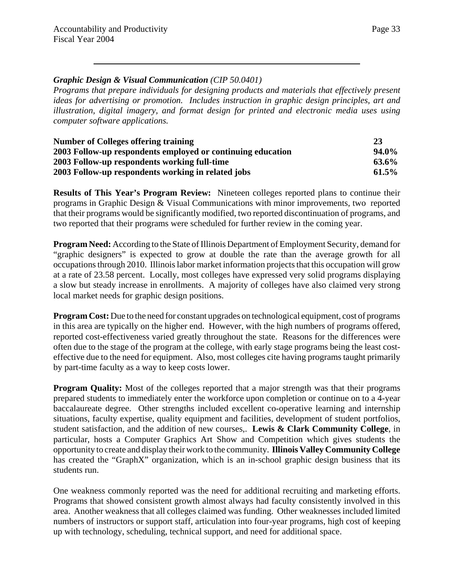#### *Graphic Design & Visual Communication (CIP 50.0401)*

*Programs that prepare individuals for designing products and materials that effectively present ideas for advertising or promotion. Includes instruction in graphic design principles, art and illustration, digital imagery, and format design for printed and electronic media uses using computer software applications.*

| <b>Number of Colleges offering training</b>                 | 23       |
|-------------------------------------------------------------|----------|
| 2003 Follow-up respondents employed or continuing education | $94.0\%$ |
| 2003 Follow-up respondents working full-time                | 63.6%    |
| 2003 Follow-up respondents working in related jobs          | $61.5\%$ |

**Results of This Year's Program Review:** Nineteen colleges reported plans to continue their programs in Graphic Design & Visual Communications with minor improvements, two reported that their programs would be significantly modified, two reported discontinuation of programs, and two reported that their programs were scheduled for further review in the coming year.

**Program Need:** According to the State of Illinois Department of Employment Security, demand for "graphic designers" is expected to grow at double the rate than the average growth for all occupations through 2010. Illinois labor market information projects that this occupation will grow at a rate of 23.58 percent. Locally, most colleges have expressed very solid programs displaying a slow but steady increase in enrollments. A majority of colleges have also claimed very strong local market needs for graphic design positions.

**Program Cost:** Due to the need for constant upgrades on technological equipment, cost of programs in this area are typically on the higher end. However, with the high numbers of programs offered, reported cost-effectiveness varied greatly throughout the state. Reasons for the differences were often due to the stage of the program at the college, with early stage programs being the least costeffective due to the need for equipment. Also, most colleges cite having programs taught primarily by part-time faculty as a way to keep costs lower.

**Program Quality:** Most of the colleges reported that a major strength was that their programs prepared students to immediately enter the workforce upon completion or continue on to a 4-year baccalaureate degree. Other strengths included excellent co-operative learning and internship situations, faculty expertise, quality equipment and facilities, development of student portfolios, student satisfaction, and the addition of new courses,. **Lewis & Clark Community College**, in particular, hosts a Computer Graphics Art Show and Competition which gives students the opportunity to create and display their work to the community. **Illinois Valley Community College** has created the "GraphX" organization, which is an in-school graphic design business that its students run.

One weakness commonly reported was the need for additional recruiting and marketing efforts. Programs that showed consistent growth almost always had faculty consistently involved in this area. Another weakness that all colleges claimed was funding. Other weaknesses included limited numbers of instructors or support staff, articulation into four-year programs, high cost of keeping up with technology, scheduling, technical support, and need for additional space.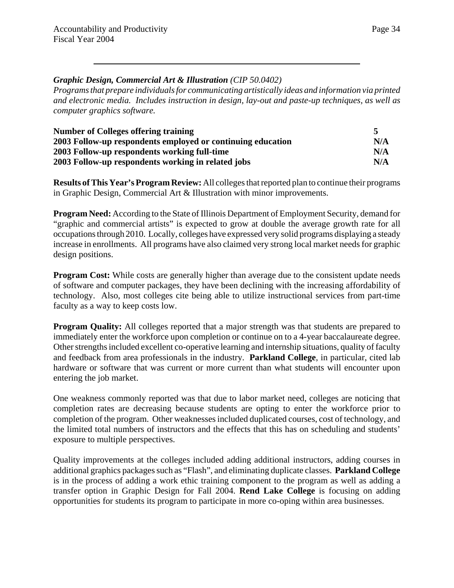#### *Graphic Design, Commercial Art & Illustration (CIP 50.0402)*

*Programs that prepare individuals for communicating artistically ideas and information via printed and electronic media. Includes instruction in design, lay-out and paste-up techniques, as well as computer graphics software.* 

| Number of Colleges offering training                        |     |
|-------------------------------------------------------------|-----|
| 2003 Follow-up respondents employed or continuing education | N/A |
| 2003 Follow-up respondents working full-time                | N/A |
| 2003 Follow-up respondents working in related jobs          | N/A |

**Results of This Year's Program Review:** All colleges that reported plan to continue their programs in Graphic Design, Commercial Art & Illustration with minor improvements.

**Program Need:** According to the State of Illinois Department of Employment Security, demand for "graphic and commercial artists" is expected to grow at double the average growth rate for all occupations through 2010. Locally, colleges have expressed very solid programs displaying a steady increase in enrollments. All programs have also claimed very strong local market needs for graphic design positions.

**Program Cost:** While costs are generally higher than average due to the consistent update needs of software and computer packages, they have been declining with the increasing affordability of technology. Also, most colleges cite being able to utilize instructional services from part-time faculty as a way to keep costs low.

**Program Quality:** All colleges reported that a major strength was that students are prepared to immediately enter the workforce upon completion or continue on to a 4-year baccalaureate degree. Other strengths included excellent co-operative learning and internship situations, quality of faculty and feedback from area professionals in the industry. **Parkland College**, in particular, cited lab hardware or software that was current or more current than what students will encounter upon entering the job market.

One weakness commonly reported was that due to labor market need, colleges are noticing that completion rates are decreasing because students are opting to enter the workforce prior to completion of the program. Other weaknesses included duplicated courses, cost of technology, and the limited total numbers of instructors and the effects that this has on scheduling and students' exposure to multiple perspectives.

Quality improvements at the colleges included adding additional instructors, adding courses in additional graphics packages such as "Flash", and eliminating duplicate classes. **Parkland College** is in the process of adding a work ethic training component to the program as well as adding a transfer option in Graphic Design for Fall 2004. **Rend Lake College** is focusing on adding opportunities for students its program to participate in more co-oping within area businesses.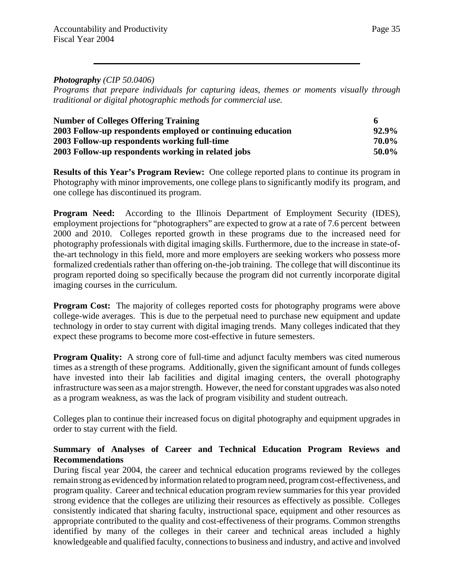#### *Photography (CIP 50.0406)*

*Programs that prepare individuals for capturing ideas, themes or moments visually through traditional or digital photographic methods for commercial use.* 

| <b>Number of Colleges Offering Training</b>                 | 6        |
|-------------------------------------------------------------|----------|
| 2003 Follow-up respondents employed or continuing education | $92.9\%$ |
| 2003 Follow-up respondents working full-time                | 70.0%    |
| 2003 Follow-up respondents working in related jobs          | 50.0%    |

**Results of this Year's Program Review:** One college reported plans to continue its program in Photography with minor improvements, one college plans to significantly modify its program, and one college has discontinued its program.

**Program Need:** According to the Illinois Department of Employment Security (IDES), employment projections for "photographers" are expected to grow at a rate of 7.6 percent between 2000 and 2010. Colleges reported growth in these programs due to the increased need for photography professionals with digital imaging skills. Furthermore, due to the increase in state-ofthe-art technology in this field, more and more employers are seeking workers who possess more formalized credentials rather than offering on-the-job training. The college that will discontinue its program reported doing so specifically because the program did not currently incorporate digital imaging courses in the curriculum.

**Program Cost:** The majority of colleges reported costs for photography programs were above college-wide averages. This is due to the perpetual need to purchase new equipment and update technology in order to stay current with digital imaging trends. Many colleges indicated that they expect these programs to become more cost-effective in future semesters.

**Program Quality:** A strong core of full-time and adjunct faculty members was cited numerous times as a strength of these programs. Additionally, given the significant amount of funds colleges have invested into their lab facilities and digital imaging centers, the overall photography infrastructure was seen as a major strength. However, the need for constant upgrades was also noted as a program weakness, as was the lack of program visibility and student outreach.

Colleges plan to continue their increased focus on digital photography and equipment upgrades in order to stay current with the field.

#### **Summary of Analyses of Career and Technical Education Program Reviews and Recommendations**

During fiscal year 2004, the career and technical education programs reviewed by the colleges remain strong as evidenced by information related to program need, program cost-effectiveness, and program quality. Career and technical education program review summaries for this year provided strong evidence that the colleges are utilizing their resources as effectively as possible. Colleges consistently indicated that sharing faculty, instructional space, equipment and other resources as appropriate contributed to the quality and cost-effectiveness of their programs. Common strengths identified by many of the colleges in their career and technical areas included a highly knowledgeable and qualified faculty, connections to business and industry, and active and involved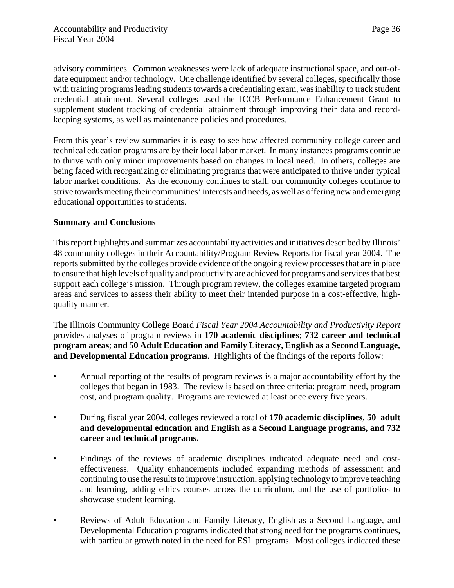advisory committees. Common weaknesses were lack of adequate instructional space, and out-ofdate equipment and/or technology. One challenge identified by several colleges, specifically those with training programs leading students towards a credentialing exam, was inability to track student credential attainment. Several colleges used the ICCB Performance Enhancement Grant to supplement student tracking of credential attainment through improving their data and recordkeeping systems, as well as maintenance policies and procedures.

From this year's review summaries it is easy to see how affected community college career and technical education programs are by their local labor market. In many instances programs continue to thrive with only minor improvements based on changes in local need. In others, colleges are being faced with reorganizing or eliminating programs that were anticipated to thrive under typical labor market conditions. As the economy continues to stall, our community colleges continue to strive towards meeting their communities' interests and needs, as well as offering new and emerging educational opportunities to students.

#### **Summary and Conclusions**

This report highlights and summarizes accountability activities and initiatives described by Illinois' 48 community colleges in their Accountability/Program Review Reports for fiscal year 2004. The reports submitted by the colleges provide evidence of the ongoing review processes that are in place to ensure that high levels of quality and productivity are achieved for programs and services that best support each college's mission. Through program review, the colleges examine targeted program areas and services to assess their ability to meet their intended purpose in a cost-effective, highquality manner.

The Illinois Community College Board *Fiscal Year 2004 Accountability and Productivity Report* provides analyses of program reviews in **170 academic disciplines**; **732 career and technical program areas**; **and 50 Adult Education and Family Literacy, English as a Second Language, and Developmental Education programs.** Highlights of the findings of the reports follow:

- Annual reporting of the results of program reviews is a major accountability effort by the colleges that began in 1983. The review is based on three criteria: program need, program cost, and program quality. Programs are reviewed at least once every five years.
- During fiscal year 2004, colleges reviewed a total of **170 academic disciplines, 50 adult and developmental education and English as a Second Language programs, and 732 career and technical programs.**
- Findings of the reviews of academic disciplines indicated adequate need and costeffectiveness. Quality enhancements included expanding methods of assessment and continuing to use the results to improve instruction, applying technology to improve teaching and learning, adding ethics courses across the curriculum, and the use of portfolios to showcase student learning.
- Reviews of Adult Education and Family Literacy, English as a Second Language, and Developmental Education programs indicated that strong need for the programs continues, with particular growth noted in the need for ESL programs. Most colleges indicated these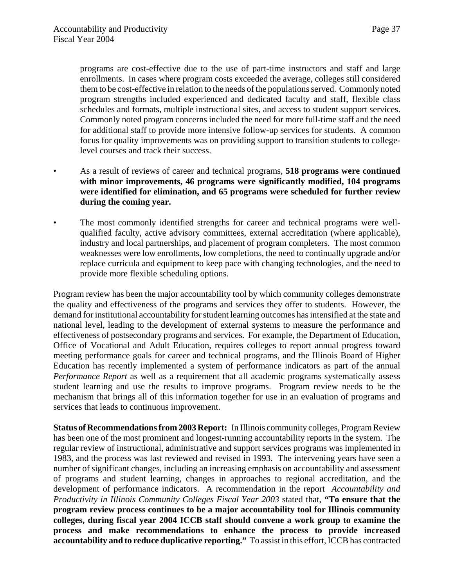programs are cost-effective due to the use of part-time instructors and staff and large enrollments. In cases where program costs exceeded the average, colleges still considered them to be cost-effective in relation to the needs of the populations served. Commonly noted program strengths included experienced and dedicated faculty and staff, flexible class schedules and formats, multiple instructional sites, and access to student support services. Commonly noted program concerns included the need for more full-time staff and the need for additional staff to provide more intensive follow-up services for students. A common focus for quality improvements was on providing support to transition students to collegelevel courses and track their success.

- As a result of reviews of career and technical programs, **518 programs were continued with minor improvements, 46 programs were significantly modified, 104 programs were identified for elimination, and 65 programs were scheduled for further review during the coming year.**
- The most commonly identified strengths for career and technical programs were wellqualified faculty, active advisory committees, external accreditation (where applicable), industry and local partnerships, and placement of program completers. The most common weaknesses were low enrollments, low completions, the need to continually upgrade and/or replace curricula and equipment to keep pace with changing technologies, and the need to provide more flexible scheduling options.

Program review has been the major accountability tool by which community colleges demonstrate the quality and effectiveness of the programs and services they offer to students. However, the demand for institutional accountability for student learning outcomes has intensified at the state and national level, leading to the development of external systems to measure the performance and effectiveness of postsecondary programs and services. For example, the Department of Education, Office of Vocational and Adult Education, requires colleges to report annual progress toward meeting performance goals for career and technical programs, and the Illinois Board of Higher Education has recently implemented a system of performance indicators as part of the annual *Performance Report* as well as a requirement that all academic programs systematically assess student learning and use the results to improve programs. Program review needs to be the mechanism that brings all of this information together for use in an evaluation of programs and services that leads to continuous improvement.

**Status of Recommendations from 2003 Report:** In Illinois community colleges, Program Review has been one of the most prominent and longest-running accountability reports in the system. The regular review of instructional, administrative and support services programs was implemented in 1983, and the process was last reviewed and revised in 1993. The intervening years have seen a number of significant changes, including an increasing emphasis on accountability and assessment of programs and student learning, changes in approaches to regional accreditation, and the development of performance indicators. A recommendation in the report *Accountability and Productivity in Illinois Community Colleges Fiscal Year 2003* stated that, **"To ensure that the program review process continues to be a major accountability tool for Illinois community colleges, during fiscal year 2004 ICCB staff should convene a work group to examine the process and make recommendations to enhance the process to provide increased accountability and to reduce duplicative reporting."** To assist in this effort, ICCB has contracted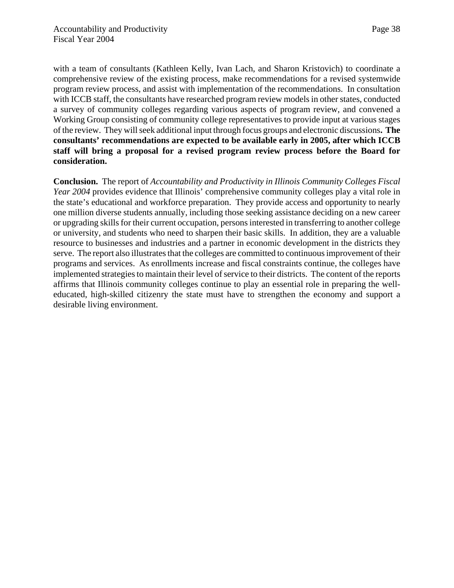with a team of consultants (Kathleen Kelly, Ivan Lach, and Sharon Kristovich) to coordinate a comprehensive review of the existing process, make recommendations for a revised systemwide program review process, and assist with implementation of the recommendations. In consultation with ICCB staff, the consultants have researched program review models in other states, conducted a survey of community colleges regarding various aspects of program review, and convened a Working Group consisting of community college representatives to provide input at various stages of the review. They will seek additional input through focus groups and electronic discussions**. The consultants' recommendations are expected to be available early in 2005, after which ICCB staff will bring a proposal for a revised program review process before the Board for consideration.**

**Conclusion.** The report of *Accountability and Productivity in Illinois Community Colleges Fiscal Year 2004* provides evidence that Illinois' comprehensive community colleges play a vital role in the state's educational and workforce preparation. They provide access and opportunity to nearly one million diverse students annually, including those seeking assistance deciding on a new career or upgrading skills for their current occupation, persons interested in transferring to another college or university, and students who need to sharpen their basic skills. In addition, they are a valuable resource to businesses and industries and a partner in economic development in the districts they serve. The report also illustrates that the colleges are committed to continuous improvement of their programs and services. As enrollments increase and fiscal constraints continue, the colleges have implemented strategies to maintain their level of service to their districts. The content of the reports affirms that Illinois community colleges continue to play an essential role in preparing the welleducated, high-skilled citizenry the state must have to strengthen the economy and support a desirable living environment.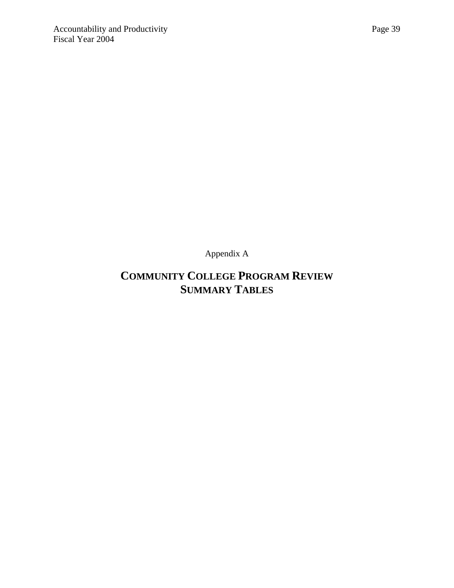Appendix A

## **COMMUNITY COLLEGE PROGRAM REVIEW SUMMARY TABLES**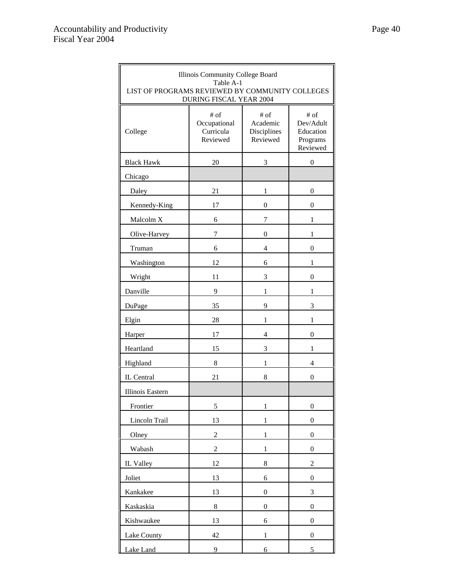| Illinois Community College Board<br>Table A-1<br>LIST OF PROGRAMS REVIEWED BY COMMUNITY COLLEGES<br><b>DURING FISCAL YEAR 2004</b> |                                                 |                                             |                                                        |
|------------------------------------------------------------------------------------------------------------------------------------|-------------------------------------------------|---------------------------------------------|--------------------------------------------------------|
| College                                                                                                                            | $#$ of<br>Occupational<br>Curricula<br>Reviewed | # of<br>Academic<br>Disciplines<br>Reviewed | # of<br>Dev/Adult<br>Education<br>Programs<br>Reviewed |
| <b>Black Hawk</b>                                                                                                                  | 20                                              | 3                                           | $\boldsymbol{0}$                                       |
| Chicago                                                                                                                            |                                                 |                                             |                                                        |
| Daley                                                                                                                              | 21                                              | 1                                           | $\boldsymbol{0}$                                       |
| Kennedy-King                                                                                                                       | 17                                              | $\mathbf{0}$                                | 0                                                      |
| Malcolm X                                                                                                                          | 6                                               | 7                                           | 1                                                      |
| Olive-Harvey                                                                                                                       | 7                                               | $\mathbf{0}$                                | 1                                                      |
| Truman                                                                                                                             | 6                                               | 4                                           | $\boldsymbol{0}$                                       |
| Washington                                                                                                                         | 12                                              | 6                                           | 1                                                      |
| Wright                                                                                                                             | 11                                              | 3                                           | $\boldsymbol{0}$                                       |
| Danville                                                                                                                           | 9                                               | 1                                           | 1                                                      |
| DuPage                                                                                                                             | 35                                              | 9                                           | 3                                                      |
| Elgin                                                                                                                              | 28                                              | $\mathbf{1}$                                | $\mathbf{1}$                                           |
| Harper                                                                                                                             | 17                                              | $\overline{4}$                              | 0                                                      |
| Heartland                                                                                                                          | 15                                              | 3                                           | 1                                                      |
| Highland                                                                                                                           | 8                                               | $\mathbf{1}$                                | $\overline{4}$                                         |
| IL Central                                                                                                                         | 21                                              | 8                                           | $\boldsymbol{0}$                                       |
| Illinois Eastern                                                                                                                   |                                                 |                                             |                                                        |
| Frontier                                                                                                                           | 5                                               | $\mathbf{1}$                                | $\boldsymbol{0}$                                       |
| Lincoln Trail                                                                                                                      | 13                                              | $\mathbf{1}$                                | 0                                                      |
| Olney                                                                                                                              | $\boldsymbol{2}$                                | $\mathbf{1}$                                | $\boldsymbol{0}$                                       |
| Wabash                                                                                                                             | $\overline{c}$                                  | $\mathbf{1}$                                | $\boldsymbol{0}$                                       |
| IL Valley                                                                                                                          | 12                                              | 8                                           | $\overline{c}$                                         |
| Joliet                                                                                                                             | 13                                              | 6                                           | $\boldsymbol{0}$                                       |
| Kankakee                                                                                                                           | 13                                              | $\boldsymbol{0}$                            | 3                                                      |
| Kaskaskia                                                                                                                          | 8                                               | $\boldsymbol{0}$                            | $\boldsymbol{0}$                                       |
| Kishwaukee                                                                                                                         | 13                                              | 6                                           | $\boldsymbol{0}$                                       |
| Lake County                                                                                                                        | 42                                              | $\mathbf{1}$                                | $\boldsymbol{0}$                                       |
| Lake Land                                                                                                                          | 9                                               | 6                                           | 5                                                      |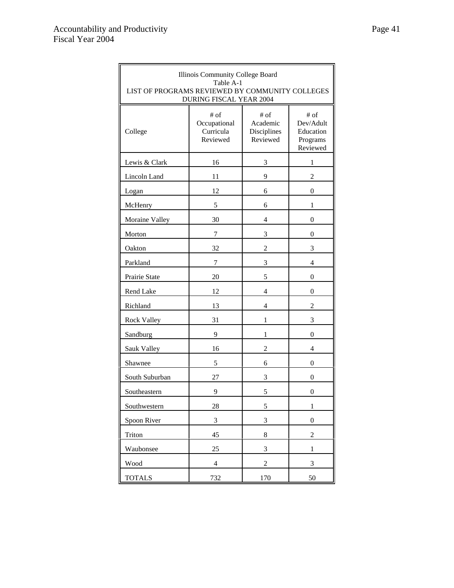| Illinois Community College Board<br>Table A-1<br>LIST OF PROGRAMS REVIEWED BY COMMUNITY COLLEGES<br><b>DURING FISCAL YEAR 2004</b> |                                                                                                |                  |                                                        |  |  |
|------------------------------------------------------------------------------------------------------------------------------------|------------------------------------------------------------------------------------------------|------------------|--------------------------------------------------------|--|--|
| College                                                                                                                            | $#$ of<br># of<br>Academic<br>Occupational<br>Curricula<br>Disciplines<br>Reviewed<br>Reviewed |                  | # of<br>Dev/Adult<br>Education<br>Programs<br>Reviewed |  |  |
| Lewis & Clark                                                                                                                      | 16                                                                                             | 3                | 1                                                      |  |  |
| Lincoln Land                                                                                                                       | 11                                                                                             | 9                | $\overline{c}$                                         |  |  |
| Logan                                                                                                                              | 12                                                                                             | 6                | $\boldsymbol{0}$                                       |  |  |
| McHenry                                                                                                                            | 5                                                                                              | 6                | 1                                                      |  |  |
| Moraine Valley                                                                                                                     | 30                                                                                             | 4                | 0                                                      |  |  |
| Morton                                                                                                                             | 7                                                                                              | 3                | 0                                                      |  |  |
| Oakton                                                                                                                             | 32                                                                                             | $\overline{c}$   | 3                                                      |  |  |
| Parkland                                                                                                                           | 7                                                                                              | 3                | 4                                                      |  |  |
| Prairie State                                                                                                                      | 20                                                                                             | 5                | $\mathbf{0}$                                           |  |  |
| Rend Lake                                                                                                                          | 12                                                                                             | 4                |                                                        |  |  |
| Richland                                                                                                                           | 13<br>$\overline{4}$                                                                           |                  | $\overline{c}$                                         |  |  |
| Rock Valley                                                                                                                        | 31                                                                                             | 1                | 3                                                      |  |  |
| Sandburg                                                                                                                           | 9                                                                                              | 1                | 0                                                      |  |  |
| Sauk Valley                                                                                                                        | 16                                                                                             | $\overline{c}$   | 4                                                      |  |  |
| Shawnee                                                                                                                            | 5                                                                                              | 6                | 0                                                      |  |  |
| South Suburban                                                                                                                     | 27                                                                                             | 3                | 0                                                      |  |  |
| Southeastern                                                                                                                       | 9                                                                                              | 5                | 0                                                      |  |  |
| Southwestern                                                                                                                       | 28                                                                                             | 5                | $\mathbf{1}$                                           |  |  |
| Spoon River                                                                                                                        | $\mathfrak{Z}$                                                                                 | 3                | $\boldsymbol{0}$                                       |  |  |
| Triton                                                                                                                             | 45                                                                                             | $8\,$            | $\overline{c}$                                         |  |  |
| Waubonsee                                                                                                                          | 25                                                                                             | 3                | $\,1$                                                  |  |  |
| Wood                                                                                                                               | $\overline{4}$                                                                                 | $\boldsymbol{2}$ | 3                                                      |  |  |
| <b>TOTALS</b><br>732<br>170<br>50                                                                                                  |                                                                                                |                  |                                                        |  |  |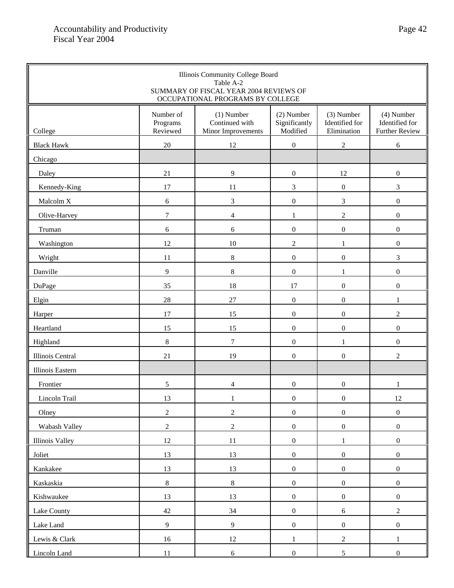| Illinois Community College Board<br>Table A-2<br>SUMMARY OF FISCAL YEAR 2004 REVIEWS OF<br>OCCUPATIONAL PROGRAMS BY COLLEGE |                                   |                                                      |                                         |                                             |                                                         |
|-----------------------------------------------------------------------------------------------------------------------------|-----------------------------------|------------------------------------------------------|-----------------------------------------|---------------------------------------------|---------------------------------------------------------|
| College                                                                                                                     | Number of<br>Programs<br>Reviewed | $(1)$ Number<br>Continued with<br>Minor Improvements | (2) Number<br>Significantly<br>Modified | (3) Number<br>Identified for<br>Elimination | $(4)$ Number<br>Identified for<br><b>Further Review</b> |
| <b>Black Hawk</b>                                                                                                           | $20\,$                            | 12                                                   | $\mathbf{0}$                            | $\overline{c}$                              | 6                                                       |
| Chicago                                                                                                                     |                                   |                                                      |                                         |                                             |                                                         |
| Daley                                                                                                                       | $21\,$                            | $\overline{9}$                                       | $\boldsymbol{0}$                        | 12                                          | $\boldsymbol{0}$                                        |
| Kennedy-King                                                                                                                | 17                                | 11                                                   | $\overline{3}$                          | $\boldsymbol{0}$                            | $\mathfrak{Z}$                                          |
| Malcolm X                                                                                                                   | 6                                 | $\mathfrak{Z}$                                       | $\boldsymbol{0}$                        | 3                                           | $\mathbf{0}$                                            |
| Olive-Harvey                                                                                                                | $\overline{7}$                    | $\overline{4}$                                       | $\mathbf{1}$                            | $\overline{c}$                              | $\boldsymbol{0}$                                        |
| Truman                                                                                                                      | 6                                 | 6                                                    | $\boldsymbol{0}$                        | $\boldsymbol{0}$                            | $\boldsymbol{0}$                                        |
| Washington                                                                                                                  | 12                                | $10\,$                                               | $\sqrt{2}$                              | 1                                           | $\boldsymbol{0}$                                        |
| Wright                                                                                                                      | 11                                | $8\,$                                                | $\boldsymbol{0}$                        | $\boldsymbol{0}$                            | 3                                                       |
| Danville                                                                                                                    | 9                                 | $8\,$                                                | $\boldsymbol{0}$                        | 1                                           | $\boldsymbol{0}$                                        |
| DuPage                                                                                                                      | 35                                | 18                                                   | 17                                      | $\boldsymbol{0}$                            | $\boldsymbol{0}$                                        |
| Elgin                                                                                                                       | 28                                | 27                                                   | $\mathbf{0}$                            | $\boldsymbol{0}$                            | $\mathbf{1}$                                            |
| Harper                                                                                                                      | 17                                | 15                                                   | $\boldsymbol{0}$                        | $\boldsymbol{0}$                            | $\overline{c}$                                          |
| Heartland                                                                                                                   | 15                                | 15                                                   | $\boldsymbol{0}$                        | $\boldsymbol{0}$                            | $\boldsymbol{0}$                                        |
| Highland                                                                                                                    | $8\,$                             | $\boldsymbol{7}$                                     | $\boldsymbol{0}$                        | 1                                           | $\boldsymbol{0}$                                        |
| Illinois Central                                                                                                            | 21                                | 19                                                   | $\boldsymbol{0}$                        | $\boldsymbol{0}$                            | $\overline{c}$                                          |
| Illinois Eastern                                                                                                            |                                   |                                                      |                                         |                                             |                                                         |
| Frontier                                                                                                                    | 5                                 | 4                                                    | $\boldsymbol{0}$                        | $\boldsymbol{0}$                            | 1                                                       |
| Lincoln Trail                                                                                                               | 13                                | $\mathbf{1}$                                         | $\boldsymbol{0}$                        | $\boldsymbol{0}$                            | $12\,$                                                  |
| Olney                                                                                                                       | $\overline{c}$                    | $\boldsymbol{2}$                                     | $\boldsymbol{0}$                        | $\boldsymbol{0}$                            | $\boldsymbol{0}$                                        |
| Wabash Valley                                                                                                               | $\overline{c}$                    | $\sqrt{2}$                                           | $\boldsymbol{0}$                        | $\boldsymbol{0}$                            | $\boldsymbol{0}$                                        |
| Illinois Valley                                                                                                             | $12\,$                            | 11                                                   | $\boldsymbol{0}$                        | $\mathbf{1}$                                | $\boldsymbol{0}$                                        |
| Joliet                                                                                                                      | 13                                | 13                                                   | $\boldsymbol{0}$                        | $\boldsymbol{0}$                            | $\boldsymbol{0}$                                        |
| Kankakee                                                                                                                    | 13                                | 13                                                   | $\boldsymbol{0}$                        | $\boldsymbol{0}$                            | $\boldsymbol{0}$                                        |
| Kaskaskia                                                                                                                   | $8\,$                             | $\,8\,$                                              | $\boldsymbol{0}$                        | $\boldsymbol{0}$                            | $\boldsymbol{0}$                                        |
| Kishwaukee                                                                                                                  | 13                                | 13                                                   | $\boldsymbol{0}$                        | $\boldsymbol{0}$                            | $\boldsymbol{0}$                                        |
| Lake County                                                                                                                 | $42\,$                            | 34                                                   | $\boldsymbol{0}$                        | $\sqrt{6}$                                  | $\sqrt{2}$                                              |
| Lake Land                                                                                                                   | $\overline{9}$                    | $\boldsymbol{9}$                                     | $\boldsymbol{0}$                        | $\boldsymbol{0}$                            | $\boldsymbol{0}$                                        |
| Lewis & Clark                                                                                                               | 16                                | 12                                                   | $\mathbf{1}$                            | $\sqrt{2}$                                  | $\mathbf{1}$                                            |
| Lincoln Land                                                                                                                | 11                                | $6\,$                                                | $\boldsymbol{0}$                        | $5\overline{)}$                             | $\mathbf{0}$                                            |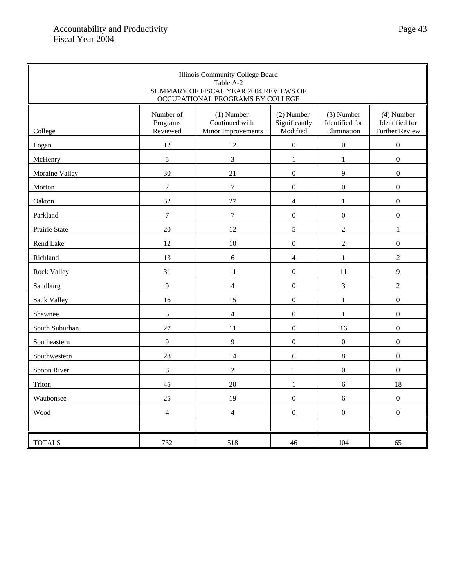| Illinois Community College Board<br>Table A-2<br>SUMMARY OF FISCAL YEAR 2004 REVIEWS OF<br>OCCUPATIONAL PROGRAMS BY COLLEGE |                                   |                                                      |                                         |                                             |                                                       |
|-----------------------------------------------------------------------------------------------------------------------------|-----------------------------------|------------------------------------------------------|-----------------------------------------|---------------------------------------------|-------------------------------------------------------|
| College                                                                                                                     | Number of<br>Programs<br>Reviewed | $(1)$ Number<br>Continued with<br>Minor Improvements | (2) Number<br>Significantly<br>Modified | (3) Number<br>Identified for<br>Elimination | (4) Number<br>Identified for<br><b>Further Review</b> |
| Logan                                                                                                                       | 12                                | 12                                                   | $\mathbf{0}$                            | $\boldsymbol{0}$                            | $\boldsymbol{0}$                                      |
| McHenry                                                                                                                     | 5                                 | 3                                                    | $\mathbf{1}$                            | $\mathbf{1}$                                | $\mathbf{0}$                                          |
| Moraine Valley                                                                                                              | 30                                | 21                                                   | $\mathbf{0}$                            | 9                                           | $\boldsymbol{0}$                                      |
| Morton                                                                                                                      | $\tau$                            | $\boldsymbol{7}$                                     | $\mathbf 0$                             | $\boldsymbol{0}$                            | $\boldsymbol{0}$                                      |
| Oakton                                                                                                                      | 32                                | 27                                                   | $\overline{4}$                          | $\mathbf{1}$                                | $\mathbf{0}$                                          |
| Parkland                                                                                                                    | $\overline{7}$                    | $\boldsymbol{7}$                                     | $\boldsymbol{0}$                        | $\boldsymbol{0}$                            | $\boldsymbol{0}$                                      |
| Prairie State                                                                                                               | 20                                | 12                                                   | 5                                       | $\overline{2}$                              | $\mathbf{1}$                                          |
| Rend Lake                                                                                                                   | 12                                | 10                                                   | $\mathbf{0}$                            | $\overline{2}$                              | $\boldsymbol{0}$                                      |
| Richland                                                                                                                    | 13                                | 6                                                    | $\overline{4}$                          | $\,1$                                       | $\sqrt{2}$                                            |
| <b>Rock Valley</b>                                                                                                          | 31                                | 11                                                   | $\boldsymbol{0}$                        | 11                                          | 9                                                     |
| Sandburg                                                                                                                    | 9                                 | $\overline{4}$                                       | $\Omega$                                | 3                                           | $\overline{2}$                                        |
| Sauk Valley                                                                                                                 | 16                                | 15                                                   | $\mathbf{0}$                            | $\mathbf{1}$                                | $\boldsymbol{0}$                                      |
| Shawnee                                                                                                                     | 5                                 | $\overline{4}$                                       | $\mathbf{0}$                            | $\mathbf{1}$                                | $\mathbf{0}$                                          |
| South Suburban                                                                                                              | 27                                | 11                                                   | $\mathbf{0}$                            | 16                                          | $\boldsymbol{0}$                                      |
| Southeastern                                                                                                                | 9                                 | 9                                                    | $\mathbf{0}$                            | $\overline{0}$                              | $\mathbf{0}$                                          |
| Southwestern                                                                                                                | 28                                | 14                                                   | 6                                       | $8\,$                                       | $\boldsymbol{0}$                                      |
| Spoon River                                                                                                                 | $\mathfrak{Z}$                    | $\overline{c}$                                       | $\mathbf{1}$                            | $\boldsymbol{0}$                            | $\boldsymbol{0}$                                      |
| Triton                                                                                                                      | 45                                | 20                                                   | $\mathbf{1}$                            | 6                                           | 18                                                    |
| Waubonsee                                                                                                                   | 25                                | 19                                                   | $\mathbf{0}$                            | 6                                           | $\mathbf{0}$                                          |
| Wood                                                                                                                        | $\overline{4}$                    | $\overline{4}$                                       | $\mathbf{0}$                            | $\overline{0}$                              | $\boldsymbol{0}$                                      |
| <b>TOTALS</b>                                                                                                               | 732                               | 518                                                  | 46                                      | 104                                         | 65                                                    |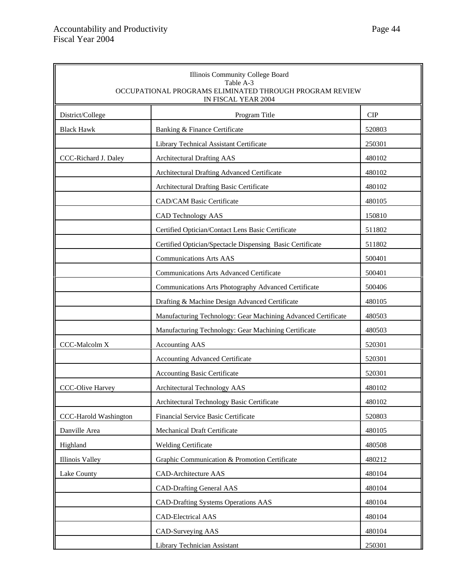| Illinois Community College Board<br>Table A-3<br>OCCUPATIONAL PROGRAMS ELIMINATED THROUGH PROGRAM REVIEW<br>IN FISCAL YEAR 2004 |                                                               |            |  |
|---------------------------------------------------------------------------------------------------------------------------------|---------------------------------------------------------------|------------|--|
| District/College                                                                                                                | Program Title                                                 | <b>CIP</b> |  |
| <b>Black Hawk</b>                                                                                                               | Banking & Finance Certificate                                 | 520803     |  |
|                                                                                                                                 | Library Technical Assistant Certificate                       | 250301     |  |
| CCC-Richard J. Daley                                                                                                            | <b>Architectural Drafting AAS</b>                             | 480102     |  |
|                                                                                                                                 | Architectural Drafting Advanced Certificate                   | 480102     |  |
|                                                                                                                                 | Architectural Drafting Basic Certificate                      | 480102     |  |
|                                                                                                                                 | <b>CAD/CAM Basic Certificate</b>                              | 480105     |  |
|                                                                                                                                 | CAD Technology AAS                                            | 150810     |  |
|                                                                                                                                 | Certified Optician/Contact Lens Basic Certificate             | 511802     |  |
|                                                                                                                                 | Certified Optician/Spectacle Dispensing Basic Certificate     | 511802     |  |
|                                                                                                                                 | <b>Communications Arts AAS</b>                                | 500401     |  |
|                                                                                                                                 | <b>Communications Arts Advanced Certificate</b>               | 500401     |  |
|                                                                                                                                 | Communications Arts Photography Advanced Certificate          | 500406     |  |
|                                                                                                                                 | Drafting & Machine Design Advanced Certificate                | 480105     |  |
|                                                                                                                                 | Manufacturing Technology: Gear Machining Advanced Certificate | 480503     |  |
|                                                                                                                                 | Manufacturing Technology: Gear Machining Certificate          | 480503     |  |
| CCC-Malcolm X                                                                                                                   | <b>Accounting AAS</b>                                         | 520301     |  |
|                                                                                                                                 | <b>Accounting Advanced Certificate</b>                        | 520301     |  |
|                                                                                                                                 | <b>Accounting Basic Certificate</b>                           | 520301     |  |
| <b>CCC-Olive Harvey</b>                                                                                                         | Architectural Technology AAS                                  | 480102     |  |
|                                                                                                                                 | Architectural Technology Basic Certificate                    | 480102     |  |
| CCC-Harold Washington                                                                                                           | Financial Service Basic Certificate                           | 520803     |  |
| Danville Area                                                                                                                   | Mechanical Draft Certificate                                  | 480105     |  |
| Highland                                                                                                                        | <b>Welding Certificate</b>                                    | 480508     |  |
| <b>Illinois Valley</b>                                                                                                          | Graphic Communication & Promotion Certificate                 | 480212     |  |
| Lake County                                                                                                                     | <b>CAD-Architecture AAS</b>                                   | 480104     |  |
|                                                                                                                                 | <b>CAD-Drafting General AAS</b>                               | 480104     |  |
|                                                                                                                                 | <b>CAD-Drafting Systems Operations AAS</b>                    | 480104     |  |
|                                                                                                                                 | <b>CAD-Electrical AAS</b>                                     | 480104     |  |
|                                                                                                                                 | CAD-Surveying AAS                                             | 480104     |  |
|                                                                                                                                 | Library Technician Assistant                                  | 250301     |  |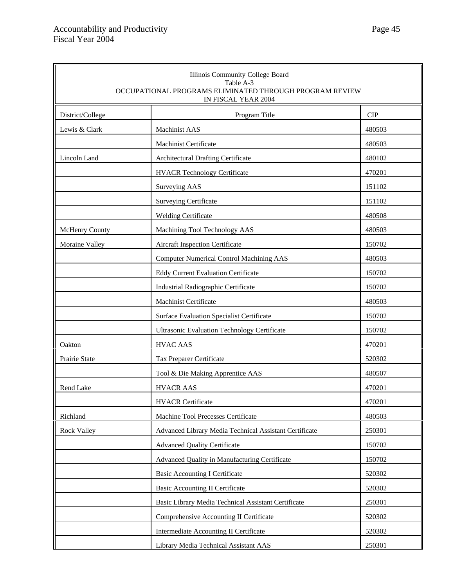| Illinois Community College Board<br>Table A-3<br>OCCUPATIONAL PROGRAMS ELIMINATED THROUGH PROGRAM REVIEW<br>IN FISCAL YEAR 2004 |                                                        |            |  |
|---------------------------------------------------------------------------------------------------------------------------------|--------------------------------------------------------|------------|--|
| District/College                                                                                                                | Program Title                                          | <b>CIP</b> |  |
| Lewis & Clark                                                                                                                   | Machinist AAS                                          | 480503     |  |
|                                                                                                                                 | <b>Machinist Certificate</b>                           | 480503     |  |
| Lincoln Land                                                                                                                    | Architectural Drafting Certificate                     | 480102     |  |
|                                                                                                                                 | <b>HVACR Technology Certificate</b>                    | 470201     |  |
|                                                                                                                                 | Surveying AAS                                          | 151102     |  |
|                                                                                                                                 | <b>Surveying Certificate</b>                           | 151102     |  |
|                                                                                                                                 | <b>Welding Certificate</b>                             | 480508     |  |
| McHenry County                                                                                                                  | Machining Tool Technology AAS                          | 480503     |  |
| Moraine Valley                                                                                                                  | Aircraft Inspection Certificate                        | 150702     |  |
|                                                                                                                                 | <b>Computer Numerical Control Machining AAS</b>        | 480503     |  |
|                                                                                                                                 | <b>Eddy Current Evaluation Certificate</b>             | 150702     |  |
|                                                                                                                                 | Industrial Radiographic Certificate                    | 150702     |  |
|                                                                                                                                 | Machinist Certificate                                  | 480503     |  |
|                                                                                                                                 | Surface Evaluation Specialist Certificate              | 150702     |  |
|                                                                                                                                 | <b>Ultrasonic Evaluation Technology Certificate</b>    | 150702     |  |
| Oakton                                                                                                                          | <b>HVAC AAS</b>                                        | 470201     |  |
| Prairie State                                                                                                                   | Tax Preparer Certificate                               | 520302     |  |
|                                                                                                                                 | Tool & Die Making Apprentice AAS                       | 480507     |  |
| Rend Lake                                                                                                                       | <b>HVACR AAS</b>                                       | 470201     |  |
|                                                                                                                                 | <b>HVACR Certificate</b>                               | 470201     |  |
| Richland                                                                                                                        | Machine Tool Precesses Certificate                     | 480503     |  |
| <b>Rock Valley</b>                                                                                                              | Advanced Library Media Technical Assistant Certificate | 250301     |  |
|                                                                                                                                 | <b>Advanced Quality Certificate</b>                    | 150702     |  |
|                                                                                                                                 | Advanced Quality in Manufacturing Certificate          | 150702     |  |
|                                                                                                                                 | <b>Basic Accounting I Certificate</b>                  | 520302     |  |
|                                                                                                                                 | <b>Basic Accounting II Certificate</b>                 | 520302     |  |
|                                                                                                                                 | Basic Library Media Technical Assistant Certificate    | 250301     |  |
|                                                                                                                                 | Comprehensive Accounting II Certificate                | 520302     |  |
|                                                                                                                                 | Intermediate Accounting II Certificate                 | 520302     |  |
|                                                                                                                                 | Library Media Technical Assistant AAS                  | 250301     |  |

 $\overline{\mathbf{u}}$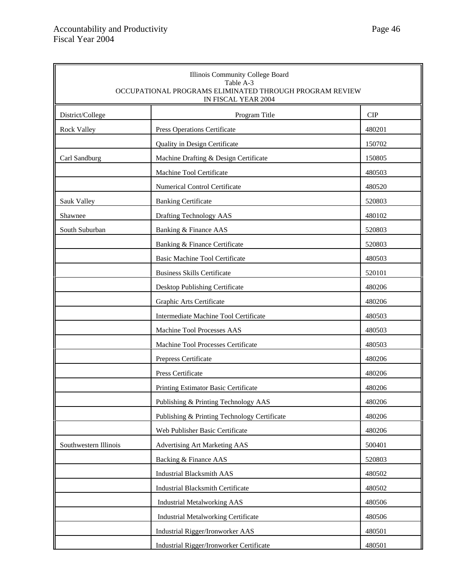| Illinois Community College Board<br>Table A-3<br>OCCUPATIONAL PROGRAMS ELIMINATED THROUGH PROGRAM REVIEW<br>IN FISCAL YEAR 2004 |                                              |            |  |
|---------------------------------------------------------------------------------------------------------------------------------|----------------------------------------------|------------|--|
| District/College                                                                                                                | Program Title                                | <b>CIP</b> |  |
| <b>Rock Valley</b>                                                                                                              | Press Operations Certificate                 | 480201     |  |
|                                                                                                                                 | Quality in Design Certificate                | 150702     |  |
| Carl Sandburg                                                                                                                   | Machine Drafting & Design Certificate        | 150805     |  |
|                                                                                                                                 | Machine Tool Certificate                     | 480503     |  |
|                                                                                                                                 | <b>Numerical Control Certificate</b>         | 480520     |  |
| Sauk Valley                                                                                                                     | <b>Banking Certificate</b>                   | 520803     |  |
| Shawnee                                                                                                                         | Drafting Technology AAS                      | 480102     |  |
| South Suburban                                                                                                                  | Banking & Finance AAS                        | 520803     |  |
|                                                                                                                                 | Banking & Finance Certificate                | 520803     |  |
|                                                                                                                                 | <b>Basic Machine Tool Certificate</b>        | 480503     |  |
|                                                                                                                                 | <b>Business Skills Certificate</b>           | 520101     |  |
|                                                                                                                                 | Desktop Publishing Certificate               | 480206     |  |
|                                                                                                                                 | Graphic Arts Certificate                     | 480206     |  |
|                                                                                                                                 | Intermediate Machine Tool Certificate        | 480503     |  |
|                                                                                                                                 | Machine Tool Processes AAS                   | 480503     |  |
|                                                                                                                                 | Machine Tool Processes Certificate           | 480503     |  |
|                                                                                                                                 | Prepress Certificate                         | 480206     |  |
|                                                                                                                                 | Press Certificate                            | 480206     |  |
|                                                                                                                                 | Printing Estimator Basic Certificate         | 480206     |  |
|                                                                                                                                 | Publishing & Printing Technology AAS         | 480206     |  |
|                                                                                                                                 | Publishing & Printing Technology Certificate | 480206     |  |
|                                                                                                                                 | Web Publisher Basic Certificate              | 480206     |  |
| Southwestern Illinois                                                                                                           | Advertising Art Marketing AAS                | 500401     |  |
|                                                                                                                                 | Backing & Finance AAS                        | 520803     |  |
|                                                                                                                                 | <b>Industrial Blacksmith AAS</b>             | 480502     |  |
|                                                                                                                                 | <b>Industrial Blacksmith Certificate</b>     | 480502     |  |
|                                                                                                                                 | <b>Industrial Metalworking AAS</b>           | 480506     |  |
|                                                                                                                                 | <b>Industrial Metalworking Certificate</b>   | 480506     |  |
|                                                                                                                                 | Industrial Rigger/Ironworker AAS             | 480501     |  |
|                                                                                                                                 | Industrial Rigger/Ironworker Certificate     | 480501     |  |